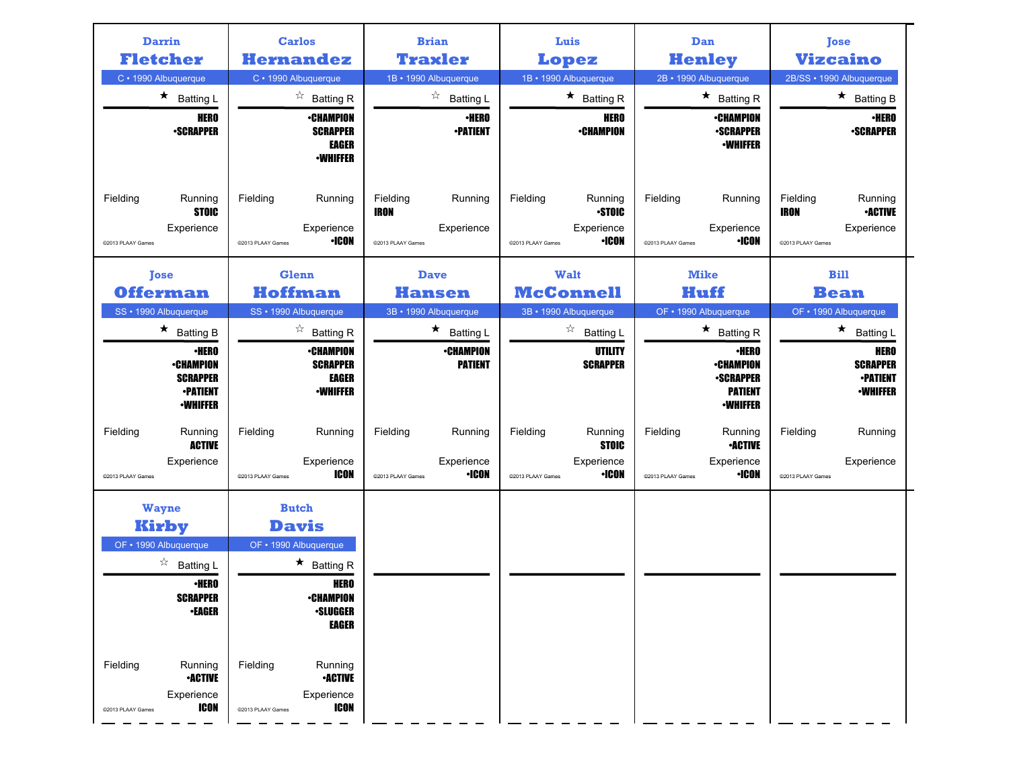| <b>Darrin</b><br><b>Fletcher</b>      |                                                                                           | <b>Carlos</b><br><b>Hernandez</b>                     |                                                                                                   |                                              | <b>Brian</b><br><b>Traxler</b>                             |                               | Luis<br>Lopez                                         |                               | Dan<br><b>Henley</b>                                                               |                                              | <b>Tose</b><br><b>Vizcaino</b>                                |
|---------------------------------------|-------------------------------------------------------------------------------------------|-------------------------------------------------------|---------------------------------------------------------------------------------------------------|----------------------------------------------|------------------------------------------------------------|-------------------------------|-------------------------------------------------------|-------------------------------|------------------------------------------------------------------------------------|----------------------------------------------|---------------------------------------------------------------|
| C · 1990 Albuquerque                  |                                                                                           | C · 1990 Albuquerque                                  |                                                                                                   |                                              | 1B · 1990 Albuquerque                                      |                               | 1B · 1990 Albuquerque                                 |                               | 2B · 1990 Albuquerque                                                              |                                              | 2B/SS · 1990 Albuquerque                                      |
|                                       | $\star$ Batting L<br><b>HERO</b><br><b>•SCRAPPER</b>                                      |                                                       | $\overrightarrow{a}$ Batting R<br>∙CHAMPION<br><b>SCRAPPER</b><br><b>EAGER</b><br><b>•WHIFFER</b> |                                              | $\overrightarrow{a}$ Batting L<br>∙HERO<br><b>•PATIENT</b> |                               | $\star$ Batting R<br><b>HERO</b><br><b>•CHAMPION</b>  |                               | $\star$ Batting R<br><b>•CHAMPION</b><br><b>•SCRAPPER</b><br><b>•WHIFFER</b>       |                                              | $\star$ Batting B<br>∙HERO<br><b>•SCRAPPER</b>                |
| Fielding<br>@2013 PLAAY Games         | Running<br><b>STOIC</b><br>Experience                                                     | Fielding<br>@2013 PLAAY Games                         | Running<br>Experience<br>·ICON                                                                    | Fielding<br><b>IRON</b><br>@2013 PLAAY Games | Running<br>Experience                                      | Fielding<br>@2013 PLAAY Games | Running<br><b>STOIC</b><br>Experience<br><b>·ICON</b> | Fielding<br>@2013 PLAAY Games | Running<br>Experience<br><b>•ICON</b>                                              | Fielding<br><b>IRON</b><br>@2013 PLAAY Games | Running<br><b>•ACTIVE</b><br>Experience                       |
| <b>Tose</b>                           |                                                                                           | <b>Glenn</b>                                          |                                                                                                   |                                              | <b>Dave</b>                                                |                               | Walt                                                  |                               | <b>Mike</b>                                                                        |                                              | <b>Bill</b>                                                   |
| <b>Offerman</b>                       |                                                                                           | <b>Hoffman</b>                                        |                                                                                                   |                                              | Hansen                                                     |                               | <b>McConnell</b>                                      |                               | Huff                                                                               |                                              | <b>Bean</b>                                                   |
| SS · 1990 Albuquerque                 | $\star$ Batting B                                                                         | SS · 1990 Albuquerque                                 | $\overrightarrow{a}$ Batting R                                                                    |                                              | 3B · 1990 Albuquerque<br>$\star$ Batting L                 |                               | 3B · 1990 Albuquerque<br>☆                            |                               | OF • 1990 Albuquerque<br>$\star$ Batting R                                         |                                              | OF • 1990 Albuquerque<br>$\star$ Batting L                    |
|                                       | <b>·HERO</b><br><b>•CHAMPION</b><br><b>SCRAPPER</b><br><b>-PATIENT</b><br><b>-WHIFFER</b> |                                                       | <b>•CHAMPION</b><br><b>SCRAPPER</b><br><b>EAGER</b><br><b>-WHIFFER</b>                            |                                              | <b>•CHAMPION</b><br><b>PATIENT</b>                         |                               | <b>Batting L</b><br>UTILITY<br><b>SCRAPPER</b>        |                               | ∙HERO<br><b>•CHAMPION</b><br><b>-SCRAPPER</b><br><b>PATIENT</b><br><b>-WHIFFER</b> |                                              | HERO<br><b>SCRAPPER</b><br><b>•PATIENT</b><br><b>•WHIFFER</b> |
| Fielding<br>@2013 PLAAY Games         | Running<br><b>ACTIVE</b><br>Experience                                                    | Fielding<br>@2013 PLAAY Games                         | Running<br>Experience<br><b>ICON</b>                                                              | Fielding<br>@2013 PLAAY Games                | Running<br>Experience<br><b>•ICON</b>                      | Fielding<br>@2013 PLAAY Games | Running<br><b>STOIC</b><br>Experience<br><b>·ICON</b> | Fielding<br>@2013 PLAAY Games | Running<br><b>•ACTIVE</b><br>Experience<br><b>•ICON</b>                            | Fielding<br>@2013 PLAAY Games                | Running<br>Experience                                         |
| <b>Wayne</b><br>OF • 1990 Albuquerque | Kirby<br>☆<br><b>Batting L</b><br>∙HERO<br><b>SCRAPPER</b><br><b>-EAGER</b>               | <b>Butch</b><br><b>Davis</b><br>OF • 1990 Albuquerque | $\star$ Batting R<br>HERO<br><b>•CHAMPION</b><br><b>•SLUGGER</b><br><b>EAGER</b>                  |                                              |                                                            |                               |                                                       |                               |                                                                                    |                                              |                                                               |
| Fielding<br>@2013 PLAAY Games         | Running<br><b>•ACTIVE</b><br>Experience<br><b>ICON</b>                                    | Fielding<br>©2013 PLAAY Games                         | Running<br><b>-ACTIVE</b><br>Experience<br><b>ICON</b>                                            |                                              |                                                            |                               |                                                       |                               |                                                                                    |                                              |                                                               |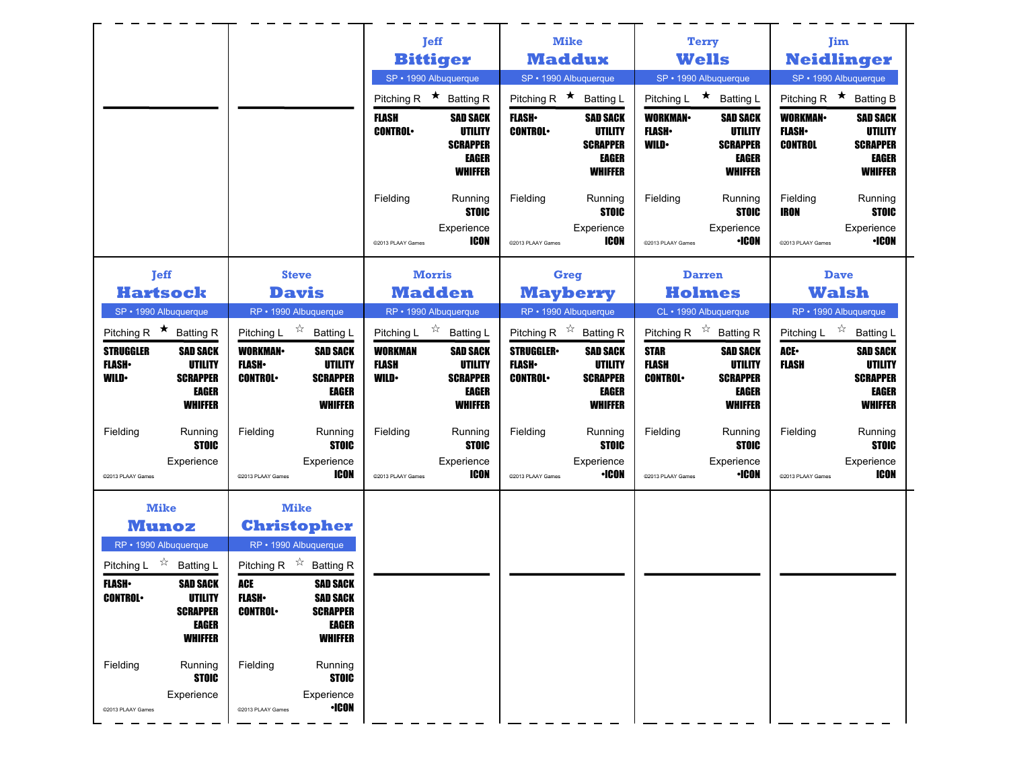|                                                                                                                                                                                                                                                          |                                                                                                                                                                                                                                                                        | <b>Jeff</b>                                                        |                                                                          | <b>Mike</b>                                                        |                                                                          |                                               | <b>Terry</b>                                                                    |                                                     | Jim                                                                             |
|----------------------------------------------------------------------------------------------------------------------------------------------------------------------------------------------------------------------------------------------------------|------------------------------------------------------------------------------------------------------------------------------------------------------------------------------------------------------------------------------------------------------------------------|--------------------------------------------------------------------|--------------------------------------------------------------------------|--------------------------------------------------------------------|--------------------------------------------------------------------------|-----------------------------------------------|---------------------------------------------------------------------------------|-----------------------------------------------------|---------------------------------------------------------------------------------|
|                                                                                                                                                                                                                                                          |                                                                                                                                                                                                                                                                        | <b>Bittiger</b>                                                    |                                                                          | <b>Maddux</b>                                                      |                                                                          |                                               | <b>Wells</b>                                                                    |                                                     | <b>Neidlinger</b>                                                               |
|                                                                                                                                                                                                                                                          |                                                                                                                                                                                                                                                                        | SP · 1990 Albuquerque                                              |                                                                          | SP · 1990 Albuquerque                                              |                                                                          |                                               | SP · 1990 Albuquerque                                                           |                                                     | SP • 1990 Albuquerque                                                           |
|                                                                                                                                                                                                                                                          |                                                                                                                                                                                                                                                                        | Pitching R $\star$ Batting R                                       |                                                                          | Pitching R $\star$ Batting L                                       |                                                                          |                                               | Pitching L ★ Batting L                                                          | Pitching R $\star$                                  | <b>Batting B</b>                                                                |
|                                                                                                                                                                                                                                                          |                                                                                                                                                                                                                                                                        | <b>FLASH</b><br><b>CONTROL</b>                                     | <b>SAD SACK</b><br>UTILITY<br><b>SCRAPPER</b><br>EAGER<br><b>WHIFFER</b> | <b>FLASH</b><br><b>CONTROL</b>                                     | <b>SAD SACK</b><br>UTILITY<br><b>SCRAPPER</b><br>EAGER<br><b>WHIFFER</b> | <b>WORKMAN</b><br><b>FLASH</b><br><b>WILD</b> | <b>SAD SACK</b><br>UTILITY<br><b>SCRAPPER</b><br>EAGER<br><b>WHIFFER</b>        | <b>WORKMAN-</b><br><b>FLASH</b> •<br><b>CONTROL</b> | <b>SAD SACK</b><br>UTILITY<br><b>SCRAPPER</b><br><b>EAGER</b><br><b>WHIFFER</b> |
|                                                                                                                                                                                                                                                          |                                                                                                                                                                                                                                                                        | Fielding<br>@2013 PLAAY Games                                      | Running<br><b>STOIC</b><br>Experience<br>ICON                            | Fielding<br>@2013 PLAAY Games                                      | Running<br><b>STOIC</b><br>Experience<br>ICON                            | Fielding<br>@2013 PLAAY Games                 | Running<br><b>STOIC</b><br>Experience<br><b>•ICON</b>                           | Fielding<br>IRON<br>@2013 PLAAY Games               | Running<br><b>STOIC</b><br>Experience<br>•ICON                                  |
| <b>Jeff</b>                                                                                                                                                                                                                                              | <b>Steve</b>                                                                                                                                                                                                                                                           | <b>Morris</b>                                                      |                                                                          | Greg                                                               |                                                                          |                                               | <b>Darren</b>                                                                   |                                                     | <b>Dave</b>                                                                     |
| <b>Hartsock</b>                                                                                                                                                                                                                                          | <b>Davis</b>                                                                                                                                                                                                                                                           | <b>Madden</b>                                                      |                                                                          | <b>Mayberry</b>                                                    |                                                                          |                                               | <b>Holmes</b>                                                                   |                                                     | <b>Walsh</b>                                                                    |
| SP · 1990 Albuquerque<br>Pitching R $\star$ Batting R                                                                                                                                                                                                    | RP • 1990 Albuquerque<br>Pitching L $\overrightarrow{x}$ Batting L                                                                                                                                                                                                     | RP • 1990 Albuquerque<br>Pitching L $\overrightarrow{2}$ Batting L |                                                                          | RP · 1990 Albuquerque<br>Pitching R $\overrightarrow{x}$ Batting R |                                                                          |                                               | CL · 1990 Albuquerque<br>Pitching R $\overrightarrow{x}$ Batting R              | Pitching L $\vec{X}$                                | RP • 1990 Albuquerque<br><b>Batting L</b>                                       |
| <b>STRUGGLER</b><br><b>SAD SACK</b><br><b>UTILITY</b><br><b>FLASH</b> •<br><b>WILD</b><br><b>SCRAPPER</b><br><b>EAGER</b><br><b>WHIFFER</b>                                                                                                              | <b>WORKMAN</b><br><b>SAD SACK</b><br><b>FLASH</b> •<br>UTILITY<br><b>CONTROL</b><br><b>SCRAPPER</b><br><b>EAGER</b><br><b>WHIFFER</b>                                                                                                                                  | <b>WORKMAN</b><br>FLASH<br><b>WILD</b>                             | <b>SAD SACK</b><br>UTILITY<br><b>SCRAPPER</b><br>EAGER<br><b>WHIFFER</b> | <b>STRUGGLER</b><br><b>FLASH</b> •<br><b>CONTROL</b>               | <b>SAD SACK</b><br>UTILITY<br><b>SCRAPPER</b><br>EAGER<br><b>WHIFFER</b> | <b>STAR</b><br><b>FLASH</b><br><b>CONTROL</b> | <b>SAD SACK</b><br><b>UTILITY</b><br><b>SCRAPPER</b><br>EAGER<br><b>WHIFFER</b> | ACE-<br><b>FLASH</b>                                | <b>SAD SACK</b><br>UTILITY<br><b>SCRAPPER</b><br><b>EAGER</b><br><b>WHIFFER</b> |
| Fielding<br>Running<br><b>STOIC</b>                                                                                                                                                                                                                      | Fielding<br>Running<br><b>STOIC</b>                                                                                                                                                                                                                                    | Fielding                                                           | Running<br><b>STOIC</b>                                                  | Fielding                                                           | Running<br><b>STOIC</b>                                                  | Fielding                                      | Running<br><b>STOIC</b>                                                         | Fielding                                            | Running<br><b>STOIC</b>                                                         |
| Experience<br>@2013 PLAAY Games                                                                                                                                                                                                                          | Experience<br>ICON<br>@2013 PLAAY Games                                                                                                                                                                                                                                | @2013 PLAAY Games                                                  | Experience<br>ICON                                                       | @2013 PLAAY Games                                                  | Experience<br><b>•ICON</b>                                               | @2013 PLAAY Games                             | Experience<br><b>•ICON</b>                                                      | @2013 PLAAY Games                                   | Experience<br><b>ICON</b>                                                       |
| <b>Mike</b><br><b>Munoz</b><br>RP · 1990 Albuquerque<br>Pitching L $\overrightarrow{x}$ Batting L<br><b>FLASH</b> •<br><b>SAD SACK</b><br><b>CONTROL</b><br>UTILITY<br><b>SCRAPPER</b><br>EAGER<br><b>WHIFFER</b><br>Fielding<br>Running<br><b>STOIC</b> | <b>Mike</b><br><b>Christopher</b><br>RP · 1990 Albuquerque<br>Pitching R $\overrightarrow{x}$ Batting R<br>ACE<br><b>SAD SACK</b><br><b>FLASH</b> •<br>SAD SACK<br><b>CONTROL</b><br><b>SCRAPPER</b><br>EAGER<br><b>WHIFFER</b><br>Fielding<br>Running<br><b>STOIC</b> |                                                                    |                                                                          |                                                                    |                                                                          |                                               |                                                                                 |                                                     |                                                                                 |
| Experience<br>@2013 PLAAY Games                                                                                                                                                                                                                          | Experience<br><b>•ICON</b><br>@2013 PLAAY Games                                                                                                                                                                                                                        |                                                                    |                                                                          |                                                                    |                                                                          |                                               |                                                                                 |                                                     |                                                                                 |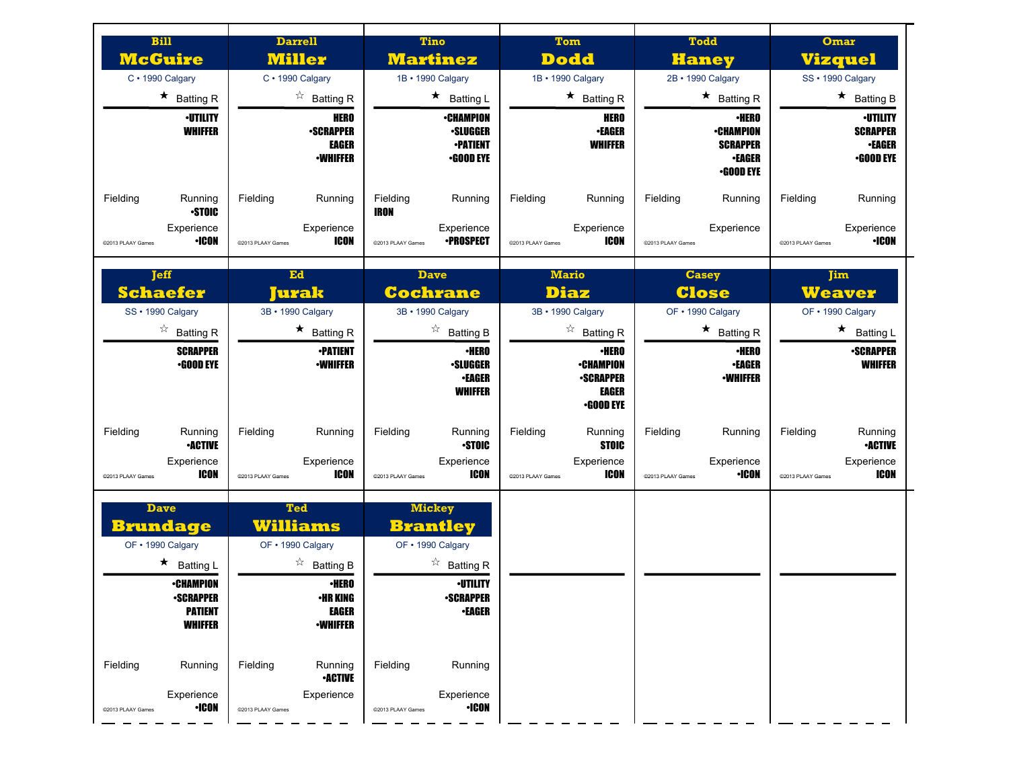| <b>Bill</b><br><b>McGuire</b>                                                                                                                        | <b>Darrell</b><br><b>Miller</b>                                                                                                              | <b>Tino</b><br><b>Martinez</b>                                                                                                                  | Tom<br><b>Dodd</b>                                                                | <b>Todd</b><br><b>Haney</b>                                                              | Omar<br><b>Vizquel</b>                                                  |
|------------------------------------------------------------------------------------------------------------------------------------------------------|----------------------------------------------------------------------------------------------------------------------------------------------|-------------------------------------------------------------------------------------------------------------------------------------------------|-----------------------------------------------------------------------------------|------------------------------------------------------------------------------------------|-------------------------------------------------------------------------|
| C · 1990 Calgary                                                                                                                                     | C · 1990 Calgary                                                                                                                             | 1B · 1990 Calgary                                                                                                                               | 1B · 1990 Calgary                                                                 | 2B · 1990 Calgary                                                                        | SS · 1990 Calgary                                                       |
| $\star$ Batting R                                                                                                                                    | $\overrightarrow{a}$ Batting R                                                                                                               | $\star$ Batting L                                                                                                                               | $\star$ Batting R                                                                 | $\star$ Batting R                                                                        | $\star$ Batting B                                                       |
| <b>·UTILITY</b><br><b>WHIFFER</b>                                                                                                                    | <b>HERO</b><br><b>-SCRAPPER</b><br>EAGER<br><b>-WHIFFER</b>                                                                                  | <b>•CHAMPION</b><br><b>•SLUGGER</b><br><b>•PATIENT</b><br><b>•GOOD EYE</b>                                                                      | <b>HERO</b><br><b>•EAGER</b><br><b>WHIFFER</b>                                    | <b>·HERO</b><br><b>•CHAMPION</b><br><b>SCRAPPER</b><br><b>•EAGER</b><br><b>•GOOD EYE</b> | <b>·UTILITY</b><br><b>SCRAPPER</b><br><b>•EAGER</b><br><b>.GOOD EYE</b> |
| Fielding<br>Running<br><b>STOIC</b>                                                                                                                  | Fielding<br>Running                                                                                                                          | Fielding<br>Running<br>IRON                                                                                                                     | Fielding<br>Running                                                               | Fielding<br>Running                                                                      | Fielding<br>Running                                                     |
| Experience<br><b>+ICON</b><br>@2013 PLAAY Games                                                                                                      | Experience<br>ICON<br>@2013 PLAAY Games                                                                                                      | Experience<br><b>•PROSPECT</b><br>@2013 PLAAY Games                                                                                             | Experience<br>ICON<br>@2013 PLAAY Games                                           | Experience<br>@2013 PLAAY Games                                                          | Experience<br><b>·ICON</b><br>@2013 PLAAY Games                         |
| <b>Teff</b><br><b>Schaefer</b>                                                                                                                       | Ed<br>Jurak                                                                                                                                  | <b>Dave</b><br><b>Cochrane</b>                                                                                                                  | <b>Mario</b><br><b>Diaz</b>                                                       | <b>Casey</b><br><b>Close</b>                                                             | <b>Jim</b><br><b>Weaver</b>                                             |
| SS · 1990 Calgary                                                                                                                                    | 3B · 1990 Calgary                                                                                                                            | 3B · 1990 Calgary                                                                                                                               | 3B · 1990 Calgary                                                                 | OF . 1990 Calgary                                                                        | OF . 1990 Calgary                                                       |
| $\overrightarrow{a}$ Batting R                                                                                                                       | $\star$ Batting R                                                                                                                            | $\overrightarrow{a}$ Batting B                                                                                                                  | $\overrightarrow{a}$ Batting R                                                    | $\star$ Batting R                                                                        | $\star$<br><b>Batting L</b>                                             |
| <b>SCRAPPER</b><br>$-$ GOOD EYE                                                                                                                      | <b>•PATIENT</b><br><b>-WHIFFER</b>                                                                                                           | <b>·HERO</b><br><b>•SLUGGER</b><br><b>•EAGER</b><br><b>WHIFFER</b>                                                                              | <b>·HERO</b><br><b>•CHAMPION</b><br><b>-SCRAPPER</b><br>EAGER<br>$\cdot$ GOOD EYE | <b>·HERO</b><br><b>•EAGER</b><br><b>-WHIFFER</b>                                         | <b>•SCRAPPER</b><br><b>WHIFFER</b>                                      |
| Fielding<br>Running<br><b>•ACTIVE</b>                                                                                                                | Fielding<br>Running                                                                                                                          | Fielding<br>Running<br><b>STOIC</b>                                                                                                             | Fielding<br>Running<br><b>STOIC</b>                                               | Fielding<br>Running                                                                      | Fielding<br>Running<br><b>-ACTIVE</b>                                   |
| Experience<br>ICON<br>@2013 PLAAY Games                                                                                                              | Experience<br><b>ICON</b><br>@2013 PLAAY Games                                                                                               | Experience<br>ICON<br>@2013 PLAAY Games                                                                                                         | Experience<br>ICON<br>@2013 PLAAY Games                                           | Experience<br><b>·ICON</b><br>@2013 PLAAY Games                                          | Experience<br>ICON<br>@2013 PLAAY Games                                 |
| <b>Dave</b><br><b>Brundage</b><br>OF • 1990 Calgary<br>$\star$ Batting L<br><b>•CHAMPION</b><br><b>•SCRAPPER</b><br><b>PATIENT</b><br><b>WHIFFER</b> | <b>Ted</b><br>Williams<br>OF . 1990 Calgary<br>$\overrightarrow{a}$ Batting B<br><b>•HERO</b><br>•HR KING<br><b>EAGER</b><br><b>-WHIFFER</b> | <b>Mickey</b><br><b>Brantley</b><br>OF . 1990 Calgary<br>$\overrightarrow{a}$ Batting R<br><b>·UTILITY</b><br><b>•SCRAPPER</b><br><b>-EAGER</b> |                                                                                   |                                                                                          |                                                                         |
| Fielding<br>Running<br>Experience<br><b>•ICON</b><br>@2013 PLAAY Games                                                                               | Fielding<br>Running<br><b>-ACTIVE</b><br>Experience<br>@2013 PLAAY Games                                                                     | Fielding<br>Running<br>Experience<br><b>•ICON</b><br>@2013 PLAAY Games                                                                          |                                                                                   |                                                                                          |                                                                         |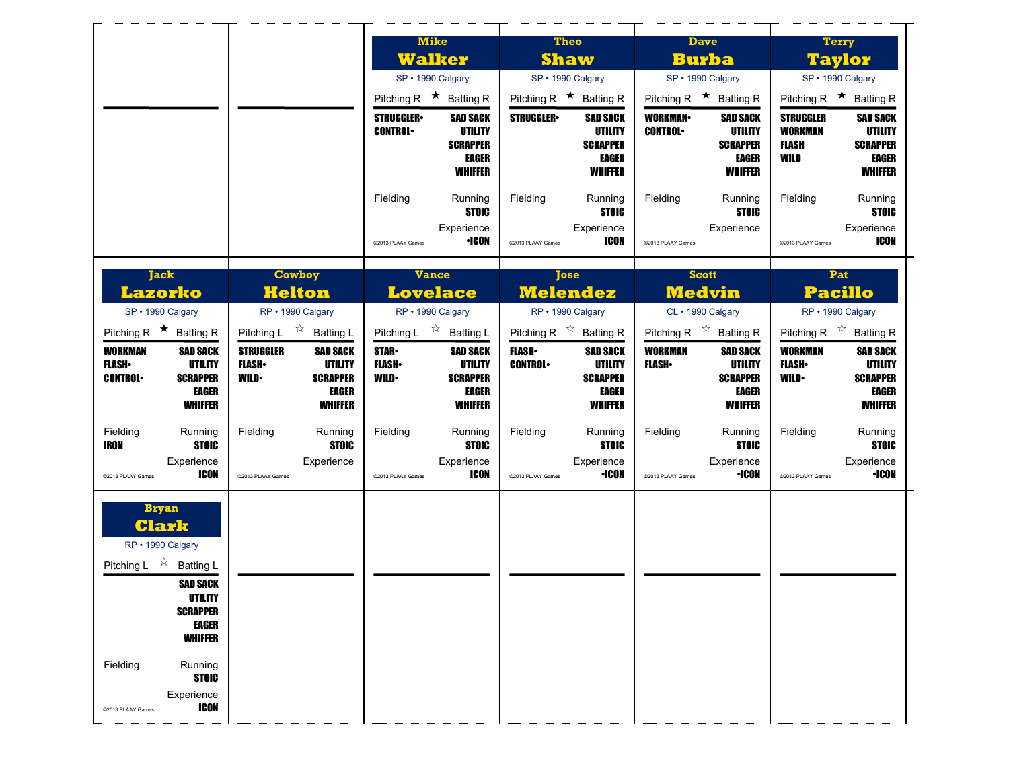|                                                     |                                                | <b>Mike</b>                                                               | <b>Theo</b>                                       | <b>Dave</b>                                                           | <b>Terry</b>                                                            |
|-----------------------------------------------------|------------------------------------------------|---------------------------------------------------------------------------|---------------------------------------------------|-----------------------------------------------------------------------|-------------------------------------------------------------------------|
|                                                     |                                                | <b>Walker</b>                                                             | <b>Shaw</b>                                       | <b>Burba</b>                                                          | <b>Taylor</b>                                                           |
|                                                     |                                                | SP · 1990 Calgary                                                         | SP · 1990 Calgary                                 | SP · 1990 Calgary                                                     | SP · 1990 Calgary                                                       |
|                                                     |                                                | Pitching R $\star$ Batting R                                              | Pitching R $\star$ Batting R                      | Pitching R $\star$ Batting R                                          | Pitching R $\star$ Batting R                                            |
|                                                     |                                                | <b>STRUGGLER</b> •<br><b>SAD SACK</b><br><b>UTILITY</b><br><b>CONTROL</b> | <b>STRUGGLER</b><br><b>SAD SACK</b><br>UTILITY    | <b>WORKMAN-</b><br><b>SAD SACK</b><br><b>CONTROL</b><br>UTILITY       | <b>STRUGGLER</b><br><b>SAD SACK</b><br><b>WORKMAN</b><br><b>UTILITY</b> |
|                                                     |                                                | <b>SCRAPPER</b>                                                           | <b>SCRAPPER</b>                                   | <b>SCRAPPER</b>                                                       | <b>FLASH</b><br><b>SCRAPPER</b>                                         |
|                                                     |                                                | EAGER<br><b>WHIFFER</b>                                                   | EAGER<br><b>WHIFFER</b>                           | EAGER<br><b>WHIFFER</b>                                               | WILD<br>EAGER<br><b>WHIFFER</b>                                         |
|                                                     |                                                |                                                                           |                                                   |                                                                       |                                                                         |
|                                                     |                                                | Fielding<br>Running                                                       | Fielding<br>Running                               | Fielding<br>Running                                                   | Fielding<br>Running                                                     |
|                                                     |                                                | <b>STOIC</b><br>Experience                                                | <b>STOIC</b><br>Experience                        | <b>STOIC</b><br>Experience                                            | <b>STOIC</b><br>Experience                                              |
|                                                     |                                                | <b>·ICON</b><br>@2013 PLAAY Games                                         | ICON<br>@2013 PLAAY Games                         | @2013 PLAAY Games                                                     | ICON<br>@2013 PLAAY Games                                               |
|                                                     |                                                |                                                                           |                                                   |                                                                       |                                                                         |
| <b>Jack</b>                                         | <b>Cowboy</b>                                  | <b>Vance</b>                                                              | <b>Tose</b>                                       | <b>Scott</b>                                                          | Pat                                                                     |
| Lazorko                                             | <b>Helton</b>                                  | <b>Lovelace</b>                                                           | <b>Melendez</b>                                   | <b>Medvin</b>                                                         | <b>Pacillo</b>                                                          |
| SP · 1990 Calgary                                   | RP · 1990 Calgary                              | RP · 1990 Calgary                                                         | RP · 1990 Calgary                                 | CL · 1990 Calgary                                                     | RP · 1990 Calgary                                                       |
| Pitching R $\star$ Batting R                        | Pitching L $\vec{r}$ Batting L                 | Pitching L $\overrightarrow{x}$ Batting L                                 | Pitching R $\overrightarrow{x}$ Batting R         | Pitching R $\overrightarrow{x}$ Batting R                             | Pitching R $\overrightarrow{x}$ Batting R                               |
| <b>WORKMAN</b><br><b>SAD SACK</b><br><b>UTILITY</b> | <b>STRUGGLER</b><br><b>SAD SACK</b>            | <b>STAR</b><br><b>SAD SACK</b><br><b>FLASH</b> •                          | <b>FLASH</b><br><b>SAD SACK</b><br><b>UTILITY</b> | <b>WORKMAN</b><br><b>SAD SACK</b><br><b>UTILITY</b><br><b>FLASH</b> • | <b>WORKMAN</b><br><b>SAD SACK</b><br>UTILITY                            |
| <b>FLASH</b> •                                      | <b>FLASH</b><br>UTILITY                        | <b>UTILITY</b>                                                            | <b>CONTROL</b>                                    |                                                                       | <b>FLASH</b>                                                            |
|                                                     |                                                | <b>WILD</b><br><b>SCRAPPER</b>                                            |                                                   |                                                                       |                                                                         |
| <b>CONTROL</b><br><b>SCRAPPER</b><br>EAGER          | <b>WILD</b><br><b>SCRAPPER</b><br><b>EAGER</b> | EAGER                                                                     | <b>SCRAPPER</b><br>EAGER                          | <b>SCRAPPER</b><br>EAGER                                              | <b>WILD</b><br><b>SCRAPPER</b><br>EAGER                                 |
| <b>WHIFFER</b>                                      | <b>WHIFFER</b>                                 | <b>WHIFFER</b>                                                            | <b>WHIFFER</b>                                    | <b>WHIFFER</b>                                                        | <b>WHIFFER</b>                                                          |
| Fielding<br>Running                                 | Running<br>Fielding                            | Fielding<br>Running                                                       | Fielding<br>Running                               | Fielding<br>Running                                                   | Fielding<br>Running                                                     |
| <b>STOIC</b><br>IRON                                | <b>STOIC</b>                                   | <b>STOIC</b>                                                              | <b>STOIC</b>                                      | <b>STOIC</b>                                                          | <b>STOIC</b>                                                            |
| Experience                                          | Experience                                     | Experience                                                                | Experience                                        | Experience                                                            | Experience                                                              |
| ICON<br>@2013 PLAAY Games                           | @2013 PLAAY Games                              | ICON<br>@2013 PLAAY Games                                                 | •ICON<br>@2013 PLAAY Games                        | <b>·ICON</b><br>@2013 PLAAY Games                                     | <b>•ICON</b><br>@2013 PLAAY Games                                       |
| <b>Bryan</b>                                        |                                                |                                                                           |                                                   |                                                                       |                                                                         |
| <b>Clark</b>                                        |                                                |                                                                           |                                                   |                                                                       |                                                                         |
| RP · 1990 Calgary                                   |                                                |                                                                           |                                                   |                                                                       |                                                                         |
| Pitching L $\overrightarrow{x}$ Batting L           |                                                |                                                                           |                                                   |                                                                       |                                                                         |
| <b>SAD SACK</b>                                     |                                                |                                                                           |                                                   |                                                                       |                                                                         |
| UTILITY                                             |                                                |                                                                           |                                                   |                                                                       |                                                                         |
| <b>SCRAPPER</b><br><b>EAGER</b>                     |                                                |                                                                           |                                                   |                                                                       |                                                                         |
| <b>WHIFFER</b>                                      |                                                |                                                                           |                                                   |                                                                       |                                                                         |
|                                                     |                                                |                                                                           |                                                   |                                                                       |                                                                         |
| Fielding<br>Running<br><b>STOIC</b>                 |                                                |                                                                           |                                                   |                                                                       |                                                                         |
| Experience<br><b>ICON</b>                           |                                                |                                                                           |                                                   |                                                                       |                                                                         |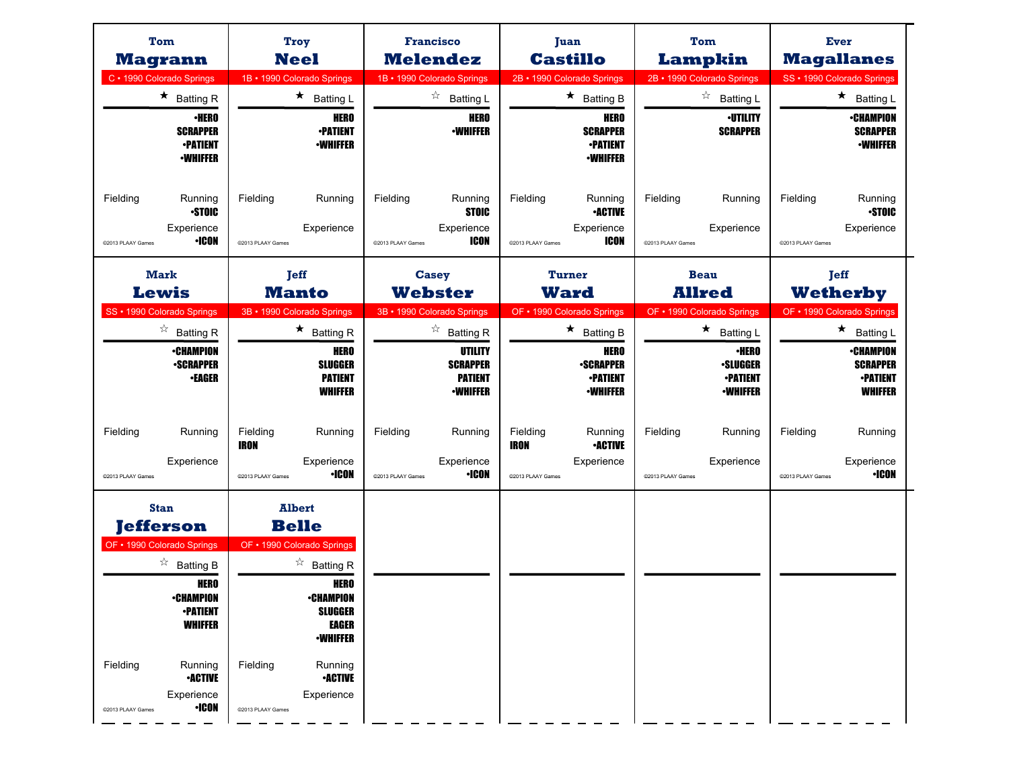| Tom<br><b>Magrann</b>                                                                                                                                                                                                                                        | <b>Troy</b><br><b>Neel</b>                                                                                                                                                                                                                                 | <b>Francisco</b><br><b>Melendez</b>                                                                                    | Juan<br><b>Castillo</b>                                                                                                            | Tom<br>Lampkin                                                                                                                     | Ever<br><b>Magallanes</b>                                                                                                       |
|--------------------------------------------------------------------------------------------------------------------------------------------------------------------------------------------------------------------------------------------------------------|------------------------------------------------------------------------------------------------------------------------------------------------------------------------------------------------------------------------------------------------------------|------------------------------------------------------------------------------------------------------------------------|------------------------------------------------------------------------------------------------------------------------------------|------------------------------------------------------------------------------------------------------------------------------------|---------------------------------------------------------------------------------------------------------------------------------|
| C · 1990 Colorado Springs<br>$\star$ Batting R<br><b>•HERO</b><br><b>SCRAPPER</b><br><b>•PATIENT</b><br><b>·WHIFFER</b>                                                                                                                                      | 1B · 1990 Colorado Springs<br>$\star$<br><b>Batting L</b><br><b>HERO</b><br><b>-PATIENT</b><br><b>-WHIFFER</b>                                                                                                                                             | 1B · 1990 Colorado Springs<br>☆<br><b>Batting L</b><br><b>HERO</b><br><b>-WHIFFER</b>                                  | 2B · 1990 Colorado Springs<br>$\star$ Batting B<br><b>HERO</b><br><b>SCRAPPER</b><br><b>-PATIENT</b><br><b>•WHIFFER</b>            | 2B · 1990 Colorado Springs<br>$z^{\prime}_{\lambda}$<br><b>Batting L</b><br><b>·UTILITY</b><br><b>SCRAPPER</b>                     | SS · 1990 Colorado Springs<br>$\star$<br>Batting L<br>∙CHAMPION<br><b>SCRAPPER</b><br><b>•WHIFFER</b>                           |
| Fielding<br>Running<br><b>STOIC</b><br>Experience<br>•ICON<br>@2013 PLAAY Games                                                                                                                                                                              | Fielding<br>Running<br>Experience<br>@2013 PLAAY Games                                                                                                                                                                                                     | Fielding<br>Running<br><b>STOIC</b><br>Experience<br>ICON<br>@2013 PLAAY Games                                         | Fielding<br>Running<br><b>-ACTIVE</b><br>Experience<br>ICON<br>@2013 PLAAY Games                                                   | Fielding<br>Running<br>Experience<br>@2013 PLAAY Games                                                                             | Fielding<br>Running<br><b>•STOIC</b><br>Experience<br>@2013 PLAAY Games                                                         |
| <b>Mark</b><br><b>Lewis</b>                                                                                                                                                                                                                                  | <b>Jeff</b><br><b>Manto</b>                                                                                                                                                                                                                                | <b>Casey</b><br><b>Webster</b>                                                                                         | <b>Turner</b><br><b>Ward</b>                                                                                                       | <b>Beau</b><br><b>Allred</b>                                                                                                       | <b>Jeff</b><br><b>Wetherby</b>                                                                                                  |
| SS · 1990 Colorado Springs<br>☆<br><b>Batting R</b><br><b>•CHAMPION</b><br><b>-SCRAPPER</b><br><b>•EAGER</b>                                                                                                                                                 | 3B · 1990 Colorado Springs<br>$\star$ Batting R<br><b>HERO</b><br><b>SLUGGER</b><br><b>PATIENT</b><br><b>WHIFFER</b>                                                                                                                                       | 3B · 1990 Colorado Springs<br>☆<br><b>Batting R</b><br>UTILITY<br><b>SCRAPPER</b><br><b>PATIENT</b><br><b>-WHIFFER</b> | OF • 1990 Colorado Springs<br>$\star$<br><b>Batting B</b><br><b>HERO</b><br><b>-SCRAPPER</b><br><b>•PATIENT</b><br><b>·WHIFFER</b> | OF • 1990 Colorado Springs<br>$\star$<br><b>Batting L</b><br><b>·HERO</b><br><b>·SLUGGER</b><br><b>-PATIENT</b><br><b>-WHIFFER</b> | OF • 1990 Colorado Springs<br>★<br><b>Batting L</b><br><b>•CHAMPION</b><br><b>SCRAPPER</b><br><b>•PATIENT</b><br><b>WHIFFER</b> |
| Fielding<br>Running<br>Experience<br>@2013 PLAAY Games                                                                                                                                                                                                       | Fielding<br>Running<br><b>IRON</b><br>Experience<br><b>·ICON</b><br>@2013 PLAAY Games                                                                                                                                                                      | Fielding<br>Running<br>Experience<br><b>·ICON</b><br>@2013 PLAAY Games                                                 | Fielding<br>Running<br><b>IRON</b><br><b>•ACTIVE</b><br>Experience<br>@2013 PLAAY Games                                            | Fielding<br>Running<br>Experience<br>@2013 PLAAY Games                                                                             | Fielding<br>Running<br>Experience<br><b>·ICON</b><br>@2013 PLAAY Games                                                          |
| <b>Stan</b><br><b>Jefferson</b><br>OF • 1990 Colorado Springs<br>$\overrightarrow{a}$ Batting B<br><b>HERO</b><br>∙CHAMPIUN<br><b>•PATIENT</b><br><b>WHIFFER</b><br>Fielding<br>Running<br><b>-ACTIVE</b><br>Experience<br>$\cdot$ ICON<br>@2013 PLAAY Games | <b>Albert</b><br><b>Belle</b><br>OF . 1990 Colorado Springs<br>$\overrightarrow{a}$ Batting R<br><b>HERO</b><br>∙CHAMPIUN<br><b>SLUGGER</b><br><b>EAGER</b><br><b>•WHIFFER</b><br>Fielding<br>Running<br><b>-ACTIVE</b><br>Experience<br>@2013 PLAAY Games |                                                                                                                        |                                                                                                                                    |                                                                                                                                    |                                                                                                                                 |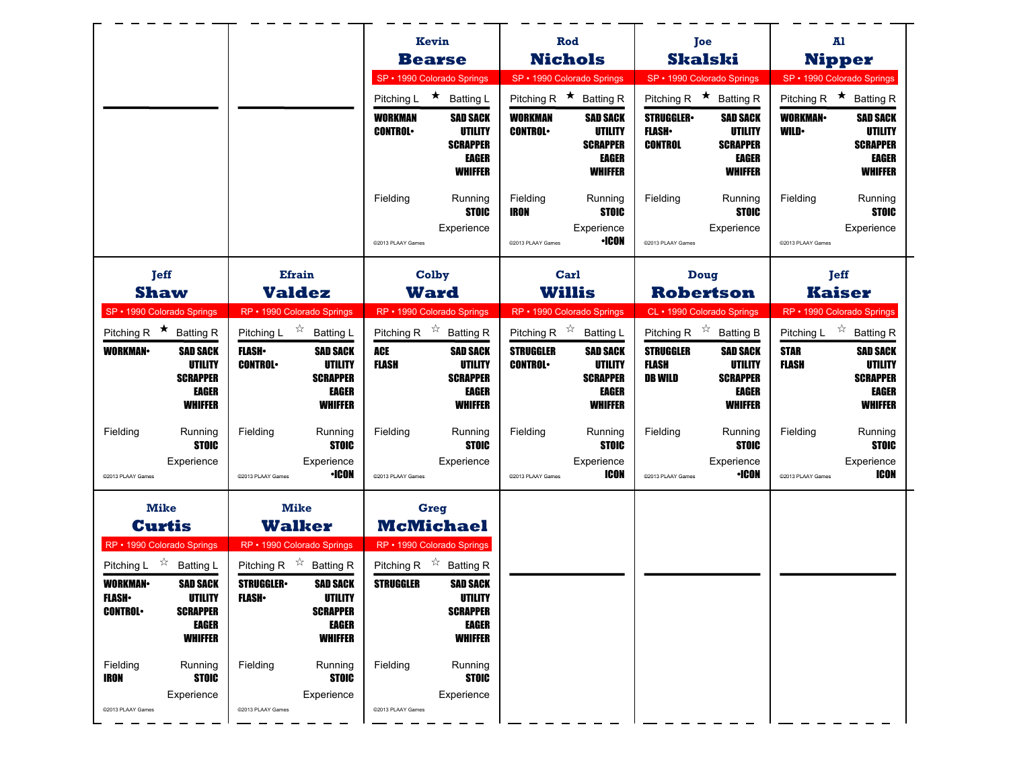|                                                                                                                                                                                          |                                                                                                                                                                           | Kevin                                                                                                                                            | Rod                                                                                                            | Joe                                                                                                                            | A1                                                                                                               |
|------------------------------------------------------------------------------------------------------------------------------------------------------------------------------------------|---------------------------------------------------------------------------------------------------------------------------------------------------------------------------|--------------------------------------------------------------------------------------------------------------------------------------------------|----------------------------------------------------------------------------------------------------------------|--------------------------------------------------------------------------------------------------------------------------------|------------------------------------------------------------------------------------------------------------------|
|                                                                                                                                                                                          |                                                                                                                                                                           | <b>Bearse</b>                                                                                                                                    | <b>Nichols</b>                                                                                                 | <b>Skalski</b>                                                                                                                 | <b>Nipper</b>                                                                                                    |
|                                                                                                                                                                                          |                                                                                                                                                                           | SP · 1990 Colorado Springs<br>Pitching L ★ Batting L                                                                                             | SP · 1990 Colorado Springs<br>Pitching R $\star$ Batting R                                                     | SP · 1990 Colorado Springs<br>Pitching R $\star$ Batting R                                                                     | SP • 1990 Colorado Springs<br>Pitching R $\star$ Batting R                                                       |
|                                                                                                                                                                                          |                                                                                                                                                                           | <b>SAD SACK</b><br><b>WORKMAN</b><br><b>CONTROL</b><br>UTILITY<br><b>SCRAPPER</b><br>EAGER<br><b>WHIFFER</b>                                     | <b>WORKMAN</b><br><b>SAD SACK</b><br><b>CONTROL</b><br>UTILITY<br><b>SCRAPPER</b><br>EAGER<br><b>WHIFFER</b>   | <b>STRUGGLER</b><br><b>SAD SACK</b><br><b>FLASH</b><br>UTILITY<br><b>CONTROL</b><br><b>SCRAPPER</b><br>EAGER<br><b>WHIFFER</b> | <b>SAD SACK</b><br><b>WORKMAN</b><br><b>WILD</b><br>UTILITY<br><b>SCRAPPER</b><br><b>EAGER</b><br><b>WHIFFER</b> |
|                                                                                                                                                                                          |                                                                                                                                                                           | Fielding<br>Running<br><b>STOIC</b><br>Experience<br>@2013 PLAAY Games                                                                           | Fielding<br>Running<br><b>STOIC</b><br><b>IRON</b><br>Experience<br><b>·ICON</b><br>@2013 PLAAY Games          | Fielding<br>Running<br><b>STOIC</b><br>Experience<br>@2013 PLAAY Games                                                         | Fielding<br>Running<br><b>STOIC</b><br>Experience<br>@2013 PLAAY Games                                           |
| <b>Jeff</b>                                                                                                                                                                              | <b>Efrain</b>                                                                                                                                                             | Colby                                                                                                                                            | Carl                                                                                                           | Doug                                                                                                                           | <b>Jeff</b>                                                                                                      |
| <b>Shaw</b>                                                                                                                                                                              | <b>Valdez</b>                                                                                                                                                             | <b>Ward</b>                                                                                                                                      | <b>Willis</b>                                                                                                  | <b>Robertson</b>                                                                                                               | <b>Kaiser</b>                                                                                                    |
| SP · 1990 Colorado Springs<br>Pitching R $\star$ Batting R                                                                                                                               | RP · 1990 Colorado Springs<br>Pitching L $\vec{r}$ Batting L                                                                                                              | RP · 1990 Colorado Springs<br>Pitching R $\overrightarrow{x}$ Batting R                                                                          | RP · 1990 Colorado Springs<br>Pitching R $\overrightarrow{x}$ Batting L                                        | CL · 1990 Colorado Springs<br>Pitching R $\overrightarrow{x}$ Batting B                                                        | RP · 1990 Colorado Springs<br>Pitching L $\vec{X}$ Batting R                                                     |
| WORKMAN-<br><b>SAD SACK</b><br>UTILITY<br><b>SCRAPPER</b><br><b>EAGER</b><br><b>WHIFFER</b>                                                                                              | <b>FLASH</b><br><b>SAD SACK</b><br><b>CONTROL</b><br>UTILITY<br><b>SCRAPPER</b><br>EAGER<br><b>WHIFFER</b>                                                                | ACE<br><b>SAD SACK</b><br>FLASH<br>UTILITY<br><b>SCRAPPER</b><br>EAGER<br><b>WHIFFER</b>                                                         | <b>STRUGGLER</b><br><b>SAD SACK</b><br><b>CONTROL</b><br>UTILITY<br><b>SCRAPPER</b><br>EAGER<br><b>WHIFFER</b> | <b>STRUGGLER</b><br><b>SAD SACK</b><br><b>FLASH</b><br>UTILITY<br><b>SCRAPPER</b><br><b>DB WILD</b><br>EAGER<br><b>WHIFFER</b> | <b>STAR</b><br><b>SAD SACK</b><br><b>FLASH</b><br>UTILITY<br><b>SCRAPPER</b><br><b>EAGER</b><br><b>WHIFFER</b>   |
| Fielding<br>Running<br><b>STOIC</b><br>Experience<br>@2013 PLAAY Games                                                                                                                   | Fielding<br>Running<br><b>STOIC</b><br>Experience<br>∙ICON<br>@2013 PLAAY Games                                                                                           | Fielding<br>Running<br><b>STOIC</b><br>Experience<br>@2013 PLAAY Games                                                                           | Fielding<br>Running<br><b>STOIC</b><br>Experience<br>ICON<br>@2013 PLAAY Games                                 | Fielding<br>Running<br><b>STOIC</b><br>Experience<br><b>·ICON</b><br>@2013 PLAAY Games                                         | Fielding<br>Running<br><b>STOIC</b><br>Experience<br><b>ICON</b><br>@2013 PLAAY Games                            |
| <b>Mike</b>                                                                                                                                                                              | <b>Mike</b><br><b>Walker</b>                                                                                                                                              | <b>Greg</b><br><b>McMichael</b>                                                                                                                  |                                                                                                                |                                                                                                                                |                                                                                                                  |
| <b>Curtis</b><br>RP · 1990 Colorado Springs                                                                                                                                              | RP • 1990 Colorado Springs                                                                                                                                                | RP · 1990 Colorado Springs                                                                                                                       |                                                                                                                |                                                                                                                                |                                                                                                                  |
| Pitching L $\overrightarrow{x}$ Batting L<br><b>SAD SACK</b><br><b>WORKMAN-</b><br><b>FLASH</b><br><b>UTILITY</b><br><b>CONTROL</b><br><b>SCRAPPER</b><br><b>EAGER</b><br><b>WHIFFER</b> | Pitching R $\overrightarrow{x}$ Batting R<br><b>SAD SACK</b><br><b>STRUGGLER</b><br><b>FLASH</b> •<br><b>UTILITY</b><br><b>SCRAPPER</b><br><b>EAGER</b><br><b>WHIFFER</b> | Pitching R $\overrightarrow{x}$ Batting R<br><b>SAD SACK</b><br><b>STRUGGLER</b><br><b>UTILITY</b><br><b>SCRAPPER</b><br>EAGER<br><b>WHIFFER</b> |                                                                                                                |                                                                                                                                |                                                                                                                  |
| Fielding<br>Running<br><b>STOIC</b><br><b>IRON</b><br>Experience<br>@2013 PLAAY Games                                                                                                    | Fielding<br>Running<br><b>STOIC</b><br>Experience<br>@2013 PLAAY Games                                                                                                    | Fielding<br>Running<br><b>STOIC</b><br>Experience<br>@2013 PLAAY Games                                                                           |                                                                                                                |                                                                                                                                |                                                                                                                  |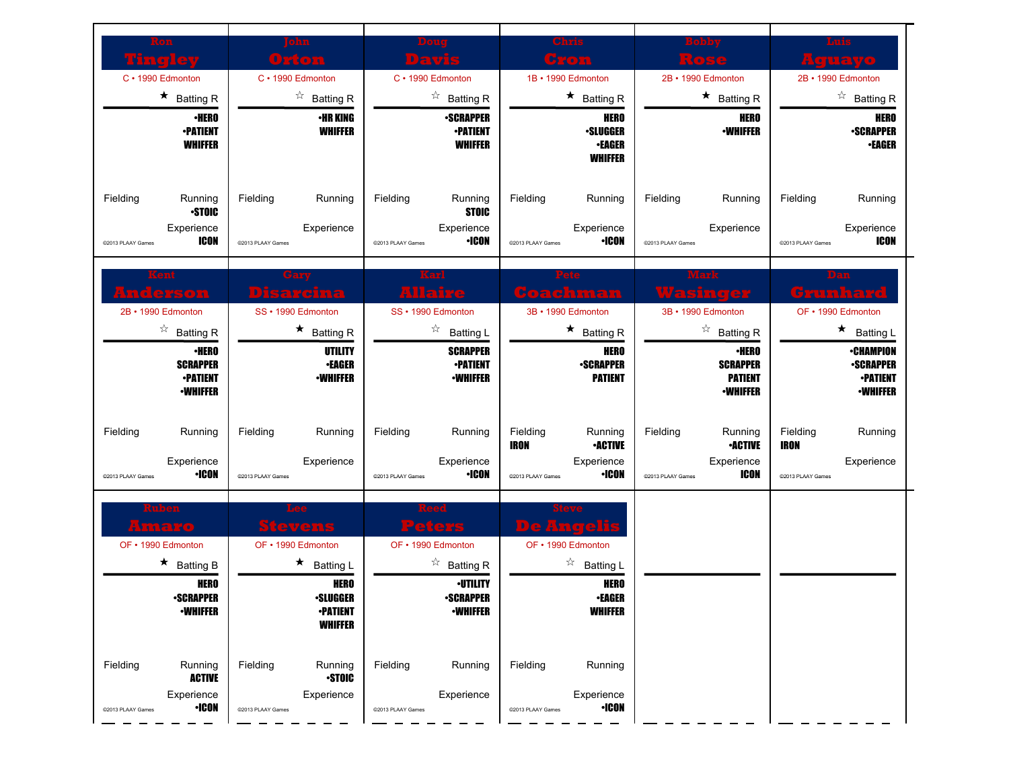|                                                       |                                   |                                                                     |                   |                                                        |                    | <b>Chris</b>                                                      |                   |                                                                      |                         | Luis                                                                       |
|-------------------------------------------------------|-----------------------------------|---------------------------------------------------------------------|-------------------|--------------------------------------------------------|--------------------|-------------------------------------------------------------------|-------------------|----------------------------------------------------------------------|-------------------------|----------------------------------------------------------------------------|
| Vinal                                                 |                                   | Orton                                                               |                   | <b>JEWS</b>                                            |                    | Gron                                                              |                   | kose                                                                 |                         | <b>Aguayo</b>                                                              |
| C · 1990 Edmonton                                     |                                   | C · 1990 Edmonton                                                   |                   | C · 1990 Edmonton                                      | 1B · 1990 Edmonton |                                                                   |                   | 2B · 1990 Edmonton                                                   |                         | 2B · 1990 Edmonton                                                         |
| $\star$ Batting R                                     |                                   | $\overleftrightarrow{\phantom{a}}$ Batting R                        |                   | $\overrightarrow{a}$ Batting R                         |                    | $\star$ Batting R                                                 |                   | $\star$ Batting R                                                    |                         | $\overrightarrow{a}$ Batting R                                             |
| <b>-PATIENT</b>                                       | <b>·HERO</b><br><b>WHIFFER</b>    | <b>•HR KING</b><br><b>WHIFFER</b>                                   |                   | <b>-SCRAPPER</b><br><b>•PATIENT</b><br><b>WHIFFER</b>  |                    | <b>HERO</b><br><b>•SLUGGER</b><br><b>•EAGER</b><br><b>WHIFFER</b> |                   | <b>HERO</b><br><b>-WHIFFER</b>                                       |                         | HERO<br><b>•SCRAPPER</b><br><b>•EAGER</b>                                  |
| Fielding<br>Running                                   | Fielding<br><b>STOIC</b>          | Running                                                             | Fielding          | Running<br><b>STOIC</b>                                | Fielding           | Running                                                           | Fielding          | Running                                                              | Fielding                | Running                                                                    |
| Experience<br>@2013 PLAAY Games                       | <b>ICON</b><br>@2013 PLAAY Games  | Experience                                                          | @2013 PLAAY Games | Experience<br><b>•ICON</b>                             | @2013 PLAAY Games  | Experience<br><b>·ICON</b>                                        | @2013 PLAAY Games | Experience                                                           | @2013 PLAAY Games       | Experience<br><b>ICON</b>                                                  |
| Gerson                                                |                                   | Disarcina                                                           |                   | Karl<br><b>Allaire</b>                                 |                    | Pete<br>Coachman                                                  |                   | Waxk<br>Wasinger                                                     |                         | Grunhard                                                                   |
| 2B · 1990 Edmonton                                    |                                   | SS · 1990 Edmonton                                                  |                   | SS · 1990 Edmonton                                     | 3B · 1990 Edmonton |                                                                   |                   | 3B · 1990 Edmonton                                                   |                         | OF • 1990 Edmonton                                                         |
| $\overrightarrow{a}$ Batting R                        |                                   | $\star$ Batting R                                                   |                   | ☆<br><b>Batting L</b>                                  |                    | $\star$ Batting R                                                 |                   | $\overrightarrow{a}$ Batting R                                       |                         | $\star$ Batting L                                                          |
| <b>SCRAPPER</b><br><b>-PATIENT</b><br><b>-WHIFFER</b> | ∙HERO                             | UTILITY<br><b>•EAGER</b><br><b>•WHIFFER</b>                         |                   | <b>SCRAPPER</b><br><b>•PATIENT</b><br><b>•WHIFFER</b>  |                    | <b>HERO</b><br><b>-SCRAPPER</b><br><b>PATIENT</b>                 |                   | <b>·HERO</b><br><b>SCRAPPER</b><br><b>PATIENT</b><br><b>-WHIFFER</b> |                         | <b>•CHAMPION</b><br><b>•SCRAPPER</b><br><b>•PATIENT</b><br><b>-WHIFFER</b> |
| Fielding<br>Running                                   | Fielding                          | Running                                                             | Fielding          | Running                                                | Fielding<br>IRON   | Running<br><b>•ACTIVE</b>                                         | Fielding          | Running<br><b>•ACTIVE</b>                                            | Fielding<br><b>IRON</b> | Running                                                                    |
| Experience                                            |                                   |                                                                     |                   |                                                        |                    |                                                                   |                   |                                                                      |                         |                                                                            |
|                                                       | <b>·ICON</b><br>@2013 PLAAY Games | Experience                                                          | @2013 PLAAY Games | Experience<br><b>•ICON</b>                             | @2013 PLAAY Games  | Experience<br><b>·ICON</b>                                        | @2013 PLAAY Games | Experience<br>ICON                                                   | @2013 PLAAY Games       | Experience                                                                 |
| uben<br>Amaro                                         |                                   | <b>Stevens</b>                                                      |                   | Peters                                                 | <b>De Angelis</b>  |                                                                   |                   |                                                                      |                         |                                                                            |
| OF • 1990 Edmonton                                    |                                   | OF • 1990 Edmonton                                                  |                   | OF • 1990 Edmonton                                     | OF • 1990 Edmonton |                                                                   |                   |                                                                      |                         |                                                                            |
| $\star$ Batting B                                     |                                   | $\star$ Batting L                                                   |                   | $\overrightarrow{a}$ Batting R                         |                    | ☆<br><b>Batting L</b>                                             |                   |                                                                      |                         |                                                                            |
| <b>-SCRAPPER</b><br><b>•WHIFFER</b>                   | <b>HERO</b>                       | <b>HERO</b><br><b>•SLUGGER</b><br><b>-PATIENT</b><br><b>WHIFFER</b> |                   | <b>•UTILITY</b><br><b>-SCRAPPER</b><br><b>-WHIFFER</b> |                    | <b>HERO</b><br><b>•EAGER</b><br><b>WHIFFER</b>                    |                   |                                                                      |                         |                                                                            |
| @2013 PLAAY Games<br>Fielding<br>Running              | Fielding<br><b>ACTIVE</b>         | Running<br><b>STOIC</b>                                             | Fielding          | Running                                                | Fielding           | Running                                                           |                   |                                                                      |                         |                                                                            |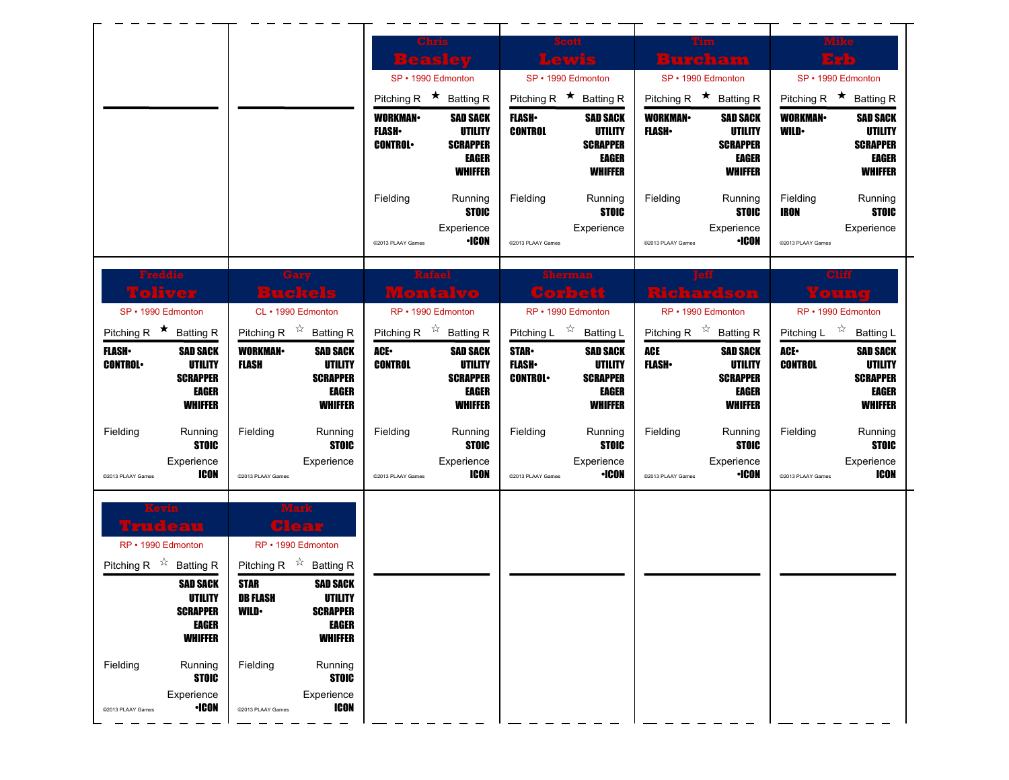|                                                                                                                                                                                                                                                                             |                                                                                                                                                                                                                                                                                                                     | Chris<br>Beaslev<br>SP • 1990 Edmonton<br>Pitching R $\star$ Batting R<br><b>WORKMAN</b><br><b>SAD SACK</b><br><b>UTILITY</b><br><b>FLASH</b> •<br><b>CONTROL</b><br><b>SCRAPPER</b><br>EAGER<br><b>WHIFFER</b><br>Fielding<br>Running<br><b>STOIC</b><br>Experience<br><b>•ICON</b><br>@2013 PLAAY Games | Lewis<br>SP · 1990 Edmonton<br>Pitching R $\star$ Batting R<br><b>FLASH</b><br><b>SAD SACK</b><br><b>CONTROL</b><br><b>UTILITY</b><br><b>SCRAPPER</b><br>EAGER<br><b>WHIFFER</b><br>Fielding<br>Running<br><b>STOIC</b><br>Experience<br>@2013 PLAAY Games                              | Tim<br>Burcham<br>SP · 1990 Edmonton<br>Pitching R $\star$ Batting R<br><b>WORKMAN-</b><br><b>SAD SACK</b><br><b>FLASH</b><br>UTILITY<br><b>SCRAPPER</b><br><b>EAGER</b><br><b>WHIFFER</b><br>Fielding<br>Running<br><b>STOIC</b><br>Experience<br><b>·ICON</b><br>@2013 PLAAY Games | SP • 1990 Edmonton<br>Pitching R $\star$ Batting R<br><b>WORKMAN-</b><br><b>SAD SACK</b><br><b>WILD</b><br><b>UTILITY</b><br><b>SCRAPPER</b><br><b>EAGER</b><br><b>WHIFFER</b><br>Fielding<br>Running<br><b>IRON</b><br><b>STOIC</b><br>Experience<br>@2013 PLAAY Games |
|-----------------------------------------------------------------------------------------------------------------------------------------------------------------------------------------------------------------------------------------------------------------------------|---------------------------------------------------------------------------------------------------------------------------------------------------------------------------------------------------------------------------------------------------------------------------------------------------------------------|-----------------------------------------------------------------------------------------------------------------------------------------------------------------------------------------------------------------------------------------------------------------------------------------------------------|-----------------------------------------------------------------------------------------------------------------------------------------------------------------------------------------------------------------------------------------------------------------------------------------|--------------------------------------------------------------------------------------------------------------------------------------------------------------------------------------------------------------------------------------------------------------------------------------|-------------------------------------------------------------------------------------------------------------------------------------------------------------------------------------------------------------------------------------------------------------------------|
| Freddie<br><b>Toliver</b><br>SP • 1990 Edmonton<br>Pitching R $\star$ Batting R<br><b>FLASH</b><br><b>SAD SACK</b><br><b>UTILITY</b><br><b>CONTROL</b><br><b>SCRAPPER</b><br>EAGER<br><b>WHIFFER</b><br>Fielding<br>Running<br><b>STOIC</b><br>Experience<br><b>ICON</b>    | Gary<br>Buckels<br>CL · 1990 Edmonton<br>Pitching R $\overrightarrow{x}$ Batting R<br><b>WORKMAN</b><br><b>SAD SACK</b><br><b>UTILITY</b><br><b>FLASH</b><br><b>SCRAPPER</b><br>EAGER<br><b>WHIFFER</b><br>Running<br>Fielding<br><b>STOIC</b><br>Experience                                                        | Montalvo<br>RP • 1990 Edmonton<br>Pitching R $\overrightarrow{x}$ Batting R<br>ACE.<br><b>SAD SACK</b><br><b>UTILITY</b><br><b>CONTROL</b><br><b>SCRAPPER</b><br>EAGER<br><b>WHIFFER</b><br>Fielding<br>Running<br><b>STOIC</b><br>Experience<br>ICON                                                     | Corbett<br>RP • 1990 Edmonton<br>Pitching L $\sqrt[4]{x}$<br><b>Batting L</b><br><b>STAR-</b><br><b>SAD SACK</b><br><b>FLASH</b><br><b>UTILITY</b><br><b>CONTROL</b><br><b>SCRAPPER</b><br>EAGER<br><b>WHIFFER</b><br>Fielding<br>Running<br><b>STOIC</b><br>Experience<br><b>·ICON</b> | Richardson<br>RP · 1990 Edmonton<br>Pitching R $\overrightarrow{x}$ Batting R<br><b>ACE</b><br><b>SAD SACK</b><br><b>FLASH</b> •<br><b>UTILITY</b><br><b>SCRAPPER</b><br>EAGER<br><b>WHIFFER</b><br>Fielding<br>Running<br><b>STOIC</b><br>Experience<br><b>·ICON</b>                | Cliff<br>Younq<br>RP • 1990 Edmonton<br>Pitching L $\vec{r}$ Batting L<br><b>ACE</b><br><b>SAD SACK</b><br><b>CONTROL</b><br>UTILITY<br><b>SCRAPPER</b><br><b>EAGER</b><br><b>WHIFFER</b><br>Fielding<br>Running<br><b>STOIC</b><br>Experience<br><b>ICON</b>           |
| @2013 PLAAY Games<br>rudeau<br>RP • 1990 Edmonton<br>Pitching R $\overrightarrow{x}$ Batting R<br><b>SAD SACK</b><br>UTILITY<br><b>SCRAPPER</b><br><b>EAGER</b><br><b>WHIFFER</b><br>Fielding<br>Running<br><b>STOIC</b><br>Experience<br><b>•ICON</b><br>@2013 PLAAY Games | @2013 PLAAY Games<br><b>Glear</b><br>RP • 1990 Edmonton<br>Pitching R $\overrightarrow{r}$ Batting R<br><b>SAD SACK</b><br><b>STAR</b><br>DB FLASH<br>UTILITY<br><b>SCRAPPER</b><br><b>WILD</b><br>EAGER<br><b>WHIFFER</b><br>Fielding<br>Running<br><b>STOIC</b><br>Experience<br><b>ICON</b><br>@2013 PLAAY Games | @2013 PLAAY Games                                                                                                                                                                                                                                                                                         | @2013 PLAAY Games                                                                                                                                                                                                                                                                       | @2013 PLAAY Games                                                                                                                                                                                                                                                                    | @2013 PLAAY Games                                                                                                                                                                                                                                                       |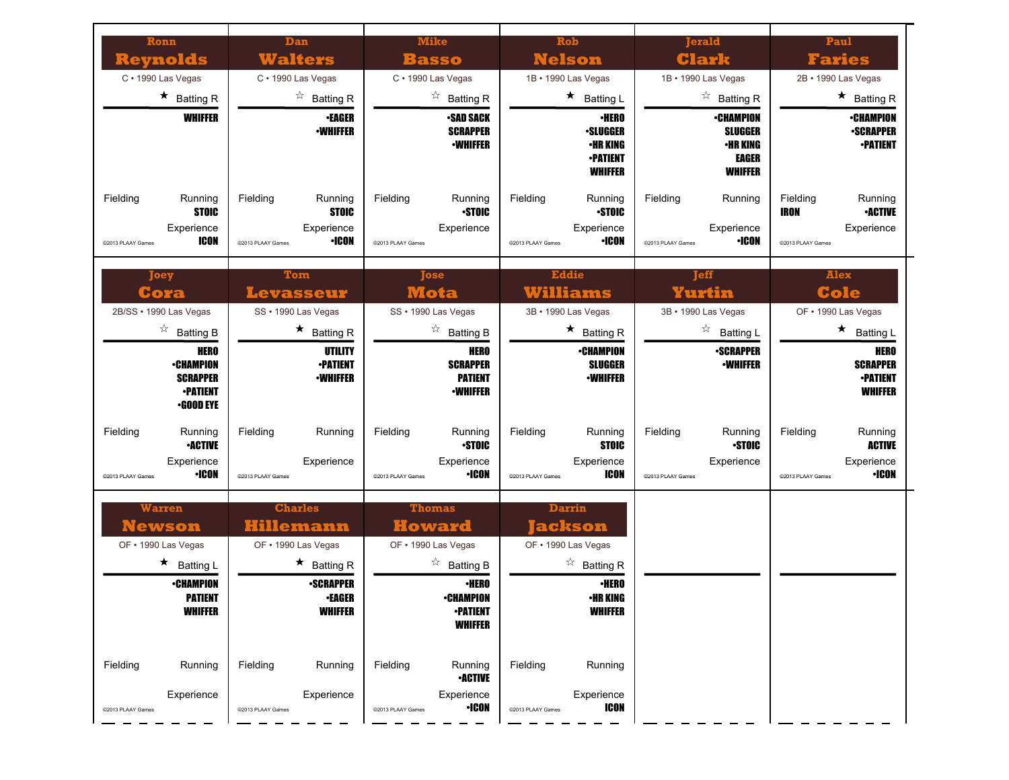| Ronn<br>Reynolds                                                                   | Dan<br>Walters                                                                  | <b>Mike</b><br>Basso                                                                             | Rob<br><b>Nelson</b>                                                                   | Terald<br>Clark                                                                  | Paul<br><b>Faries</b>                                                                   |
|------------------------------------------------------------------------------------|---------------------------------------------------------------------------------|--------------------------------------------------------------------------------------------------|----------------------------------------------------------------------------------------|----------------------------------------------------------------------------------|-----------------------------------------------------------------------------------------|
| C · 1990 Las Vegas                                                                 | C · 1990 Las Vegas                                                              | C · 1990 Las Vegas                                                                               | 1B · 1990 Las Vegas                                                                    | 1B · 1990 Las Vegas                                                              | 2B · 1990 Las Vegas                                                                     |
| $\star$ Batting R                                                                  | $\overrightarrow{a}$ Batting R                                                  | $\overrightarrow{a}$ Batting R                                                                   | $\star$ Batting L                                                                      | $\overrightarrow{a}$ Batting R                                                   | $\star$ Batting R                                                                       |
| <b>WHIFFER</b>                                                                     | <b>•EAGER</b><br><b>-WHIFFER</b>                                                | <b>•SAD SACK</b><br><b>SCRAPPER</b><br><b>-WHIFFER</b>                                           | <b>•HERO</b><br><b>•SLUGGER</b><br>•HR KING<br><b>-PATIENT</b><br><b>WHIFFER</b>       | <b>•CHAMPION</b><br><b>SLUGGER</b><br><b>•HR KING</b><br>EAGER<br><b>WHIFFER</b> | <b>•CHAMPION</b><br><b>-SCRAPPER</b><br><b>•PATIENT</b>                                 |
| Fielding<br>Running<br><b>STOIC</b><br>Experience<br>ICON<br>@2013 PLAAY Games     | Fielding<br>Running<br><b>STOIC</b><br>Experience<br>•ICON<br>@2013 PLAAY Games | Fielding<br>Running<br><b>STOIC</b><br>Experience<br>@2013 PLAAY Games                           | Fielding<br>Running<br><b>STOIC</b><br>Experience<br><b>•ICON</b><br>@2013 PLAAY Games | Fielding<br>Running<br>Experience<br><b>·ICON</b><br>@2013 PLAAY Games           | Fielding<br>Running<br><b>-ACTIVE</b><br>IRON<br>Experience<br>@2013 PLAAY Games        |
| Joey<br>Cora                                                                       | Tom<br><b>Levasseur</b>                                                         | <b>Tose</b><br>Mota                                                                              | <b>Eddie</b><br>Williams                                                               | <b>Teff</b><br>Yurtin                                                            | <b>Alex</b><br>Cole                                                                     |
| 2B/SS · 1990 Las Vegas                                                             | SS · 1990 Las Vegas                                                             | SS · 1990 Las Vegas                                                                              | 3B · 1990 Las Vegas                                                                    | 3B · 1990 Las Vegas                                                              | OF • 1990 Las Vegas                                                                     |
| $\overrightarrow{a}$ Batting B                                                     | $\star$ Batting R                                                               | $\overrightarrow{a}$ Batting B                                                                   | $\star$ Batting R                                                                      | ☆<br><b>Batting L</b>                                                            | $\star$ Batting L                                                                       |
| HERO<br><b>•CHAMPION</b><br><b>SCRAPPER</b><br><b>•PATIENT</b><br><b>•GOOD EYE</b> | UTILITY<br><b>•PATIENT</b><br><b>-WHIFFER</b>                                   | <b>HERO</b><br><b>SCRAPPER</b><br><b>PATIENT</b><br><b>-WHIFFER</b>                              | <b>•CHAMPION</b><br><b>SLUGGER</b><br><b>•WHIFFER</b>                                  | <b>•SCRAPPER</b><br><b>-WHIFFER</b>                                              | <b>HERO</b><br><b>SCRAPPER</b><br><b>•PATIENT</b><br><b>WHIFFER</b>                     |
| Fielding<br>Running<br><b>•ACTIVE</b><br>Experience<br>•ICON<br>@2013 PLAAY Games  | Fielding<br>Running<br>Experience<br>@2013 PLAAY Games                          | Running<br>Fielding<br><b>STOIC</b><br>Experience<br><b>·ICON</b><br>@2013 PLAAY Games           | Fielding<br>Running<br><b>STOIC</b><br>Experience<br>ICON<br>@2013 PLAAY Games         | Fielding<br>Running<br><b>STOIC</b><br>Experience<br>@2013 PLAAY Games           | Fielding<br>Running<br><b>ACTIVE</b><br>Experience<br><b>·ICON</b><br>@2013 PLAAY Games |
| <b>Warren</b><br><u>Newson</u><br>OF • 1990 Las Vegas                              | <b>Charles</b><br>Hillemann<br>OF . 1990 Las Vegas                              | <b>Thomas</b><br><b>Howard</b><br>OF • 1990 Las Vegas                                            | Darrin<br>ackson <br>OF • 1990 Las Vegas                                               |                                                                                  |                                                                                         |
| $\star$ Batting L<br><b>•CHAMPION</b><br><b>PATIENT</b><br><b>WHIFFER</b>          | $\star$ Batting R<br><b>-SCRAPPER</b><br>∙EAGER<br><b>WHIFFER</b>               | $\overrightarrow{a}$ Batting B<br><b>·HERO</b><br>∙CHAMPION<br><b>-PATIENT</b><br><b>WHIFFER</b> | $\overrightarrow{a}$ Batting R<br><b>•HERO</b><br>•HR KING<br><b>WHIFFER</b>           |                                                                                  |                                                                                         |
| Fielding<br>Running<br>Experience<br>@2013 PLAAY Games                             | Fielding<br>Running<br>Experience<br>@2013 PLAAY Games                          | Fielding<br>Running<br><b>•ACTIVE</b><br>Experience<br><b>•ICON</b><br>@2013 PLAAY Games         | Fielding<br>Running<br>Experience<br><b>ICON</b><br>@2013 PLAAY Games                  |                                                                                  |                                                                                         |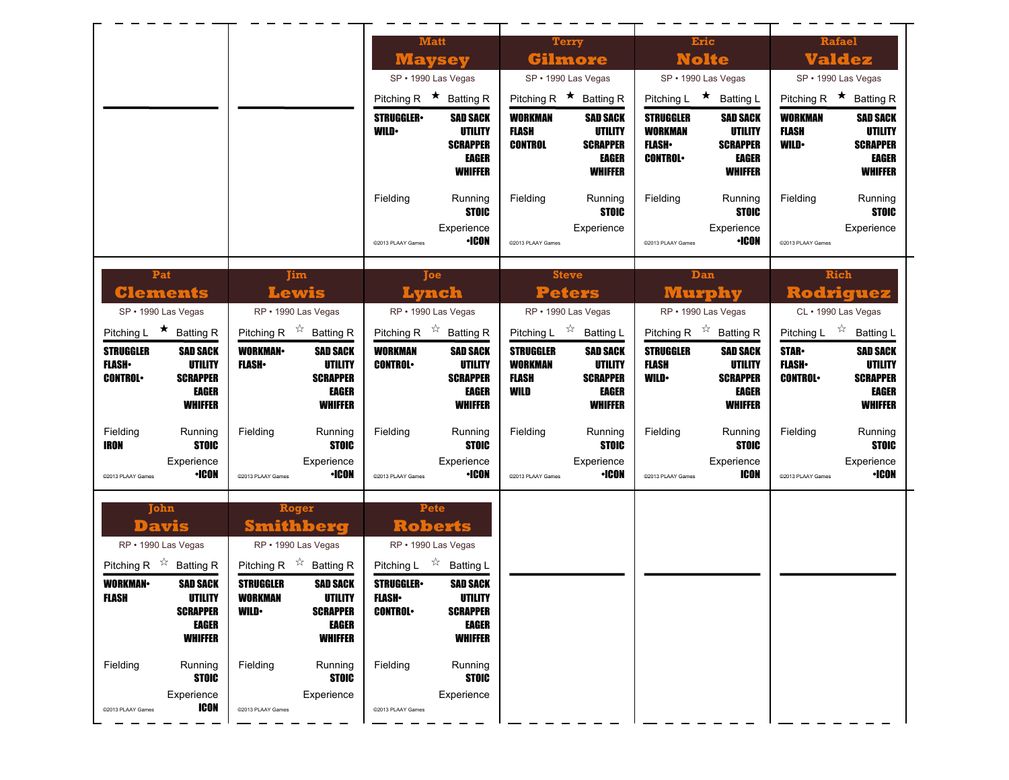|                                                                                                                                                   |                                                                                                                                                                     | <b>Matt</b><br><b>Maysey</b>                                                                                                                                              | <b>Terry</b><br>Gilmore                                                                                                                       | <b>Eric</b><br><b>Nolte</b>                                                                                                                        | Rafael<br><b>Valdez</b>                                                                                                          |
|---------------------------------------------------------------------------------------------------------------------------------------------------|---------------------------------------------------------------------------------------------------------------------------------------------------------------------|---------------------------------------------------------------------------------------------------------------------------------------------------------------------------|-----------------------------------------------------------------------------------------------------------------------------------------------|----------------------------------------------------------------------------------------------------------------------------------------------------|----------------------------------------------------------------------------------------------------------------------------------|
|                                                                                                                                                   |                                                                                                                                                                     | SP · 1990 Las Vegas                                                                                                                                                       | SP · 1990 Las Vegas                                                                                                                           | SP · 1990 Las Vegas                                                                                                                                | SP · 1990 Las Vegas                                                                                                              |
|                                                                                                                                                   |                                                                                                                                                                     | Pitching R $\star$ Batting R                                                                                                                                              | Pitching R $\star$ Batting R                                                                                                                  | Pitching L ★ Batting L                                                                                                                             | Pitching R $\star$ Batting R                                                                                                     |
|                                                                                                                                                   |                                                                                                                                                                     | <b>STRUGGLER</b><br><b>SAD SACK</b><br><b>UTILITY</b><br><b>WILD</b><br><b>SCRAPPER</b><br>EAGER<br><b>WHIFFER</b>                                                        | <b>WORKMAN</b><br><b>SAD SACK</b><br><b>UTILITY</b><br><b>FLASH</b><br><b>CONTROL</b><br><b>SCRAPPER</b><br><b>EAGER</b><br><b>WHIFFER</b>    | <b>STRUGGLER</b><br><b>SAD SACK</b><br><b>WORKMAN</b><br>UTILITY<br><b>FLASH</b> •<br><b>SCRAPPER</b><br><b>CONTROL</b><br>EAGER<br><b>WHIFFER</b> | <b>WORKMAN</b><br><b>SAD SACK</b><br><b>FLASH</b><br>UTILITY<br><b>WILD</b><br><b>SCRAPPER</b><br><b>EAGER</b><br><b>WHIFFER</b> |
|                                                                                                                                                   |                                                                                                                                                                     | Fielding<br>Running<br><b>STOIC</b><br>Experience<br><b>•ICON</b><br>@2013 PLAAY Games                                                                                    | Fielding<br>Running<br><b>STOIC</b><br>Experience<br>@2013 PLAAY Games                                                                        | Fielding<br>Running<br><b>STOIC</b><br>Experience<br><b>·ICON</b><br>@2013 PLAAY Games                                                             | Fielding<br>Running<br><b>STOIC</b><br>Experience<br>@2013 PLAAY Games                                                           |
| Pat<br><b>Clements</b><br>SP · 1990 Las Vegas                                                                                                     | <b>Tim</b><br>Lewis<br>RP · 1990 Las Vegas                                                                                                                          | loe<br>Lynch<br>RP · 1990 Las Vegas                                                                                                                                       | <b>Steve</b><br><b>Peters</b><br>RP · 1990 Las Vegas                                                                                          | Dan<br><b>Murphy</b><br>RP · 1990 Las Vegas                                                                                                        | Rich<br><b>Rodriguez</b><br>CL · 1990 Las Vegas                                                                                  |
| Pitching L $\star$ Batting R                                                                                                                      | Pitching R $\overrightarrow{x}$ Batting R                                                                                                                           | Pitching R $\overrightarrow{x}$ Batting R                                                                                                                                 | Pitching L $\overrightarrow{x}$ Batting L                                                                                                     | Pitching R $\overrightarrow{x}$ Batting R                                                                                                          | Pitching L $\overrightarrow{x}$ Batting L                                                                                        |
| <b>STRUGGLER</b><br><b>SAD SACK</b><br><b>FLASH</b><br><b>UTILITY</b><br><b>CONTROL</b><br><b>SCRAPPER</b><br>EAGER<br><b>WHIFFER</b>             | <b>WORKMAN-</b><br><b>SAD SACK</b><br><b>UTILITY</b><br><b>FLASH</b> •<br><b>SCRAPPER</b><br>EAGER<br><b>WHIFFER</b>                                                | <b>WORKMAN</b><br><b>SAD SACK</b><br><b>UTILITY</b><br><b>CONTROL</b><br><b>SCRAPPER</b><br><b>EAGER</b><br><b>WHIFFER</b>                                                | <b>STRUGGLER</b><br><b>SAD SACK</b><br><b>WORKMAN</b><br><b>UTILITY</b><br><b>FLASH</b><br><b>SCRAPPER</b><br>WILD<br>EAGER<br><b>WHIFFER</b> | <b>STRUGGLER</b><br><b>SAD SACK</b><br><b>FLASH</b><br>UTILITY<br><b>WILD</b><br><b>SCRAPPER</b><br>EAGER<br><b>WHIFFER</b>                        | <b>STAR</b><br><b>SAD SACK</b><br><b>FLASH</b><br>UTILITY<br><b>CONTROL</b><br><b>SCRAPPER</b><br><b>EAGER</b><br><b>WHIFFER</b> |
| Fielding<br>Running<br><b>STOIC</b><br>IRON<br>Experience<br>•ICON<br>@2013 PLAAY Games                                                           | Fielding<br>Running<br><b>STOIC</b><br>Experience<br>•ICON<br>@2013 PLAAY Games                                                                                     | Fielding<br>Running<br><b>STOIC</b><br>Experience<br><b>•ICON</b><br>@2013 PLAAY Games                                                                                    | Fielding<br>Running<br><b>STOIC</b><br>Experience<br><b>·ICON</b><br>@2013 PLAAY Games                                                        | Fielding<br>Running<br><b>STOIC</b><br>Experience<br><b>ICON</b><br>@2013 PLAAY Games                                                              | Fielding<br>Running<br><b>STOIC</b><br>Experience<br><b>•ICON</b><br>@2013 PLAAY Games                                           |
| John<br><b>Davis</b><br>RP · 1990 Las Vegas                                                                                                       | Roger<br><b>Smithberg</b><br>RP · 1990 Las Vegas                                                                                                                    | Pete<br><b>Roberts</b><br>RP · 1990 Las Vegas                                                                                                                             |                                                                                                                                               |                                                                                                                                                    |                                                                                                                                  |
| Pitching R $\overrightarrow{x}$ Batting R<br><b>WORKMAN-</b><br><b>SAD SACK</b><br>FLASH<br>UTILITY<br><b>SCRAPPER</b><br>EAGER<br><b>WHIFFER</b> | Pitching R $\overrightarrow{x}$ Batting R<br><b>STRUGGLER</b><br><b>SAD SACK</b><br>WORKMAN<br>UTILITY<br><b>WILD</b><br><b>SCRAPPER</b><br>EAGER<br><b>WHIFFER</b> | Pitching L $\vec{r}$ Batting L<br><b>STRUGGLER</b><br><b>SAD SACK</b><br><b>FLASH</b> •<br>UTILITY<br><b>CONTROL</b><br><b>SCRAPPER</b><br><b>EAGER</b><br><b>WHIFFER</b> |                                                                                                                                               |                                                                                                                                                    |                                                                                                                                  |
| Fielding<br>Running<br><b>STOIC</b><br>Experience<br><b>ICON</b><br>@2013 PLAAY Games                                                             | Fielding<br>Running<br><b>STOIC</b><br>Experience<br>@2013 PLAAY Games                                                                                              | Fielding<br>Running<br><b>STOIC</b><br>Experience<br>@2013 PLAAY Games                                                                                                    |                                                                                                                                               |                                                                                                                                                    |                                                                                                                                  |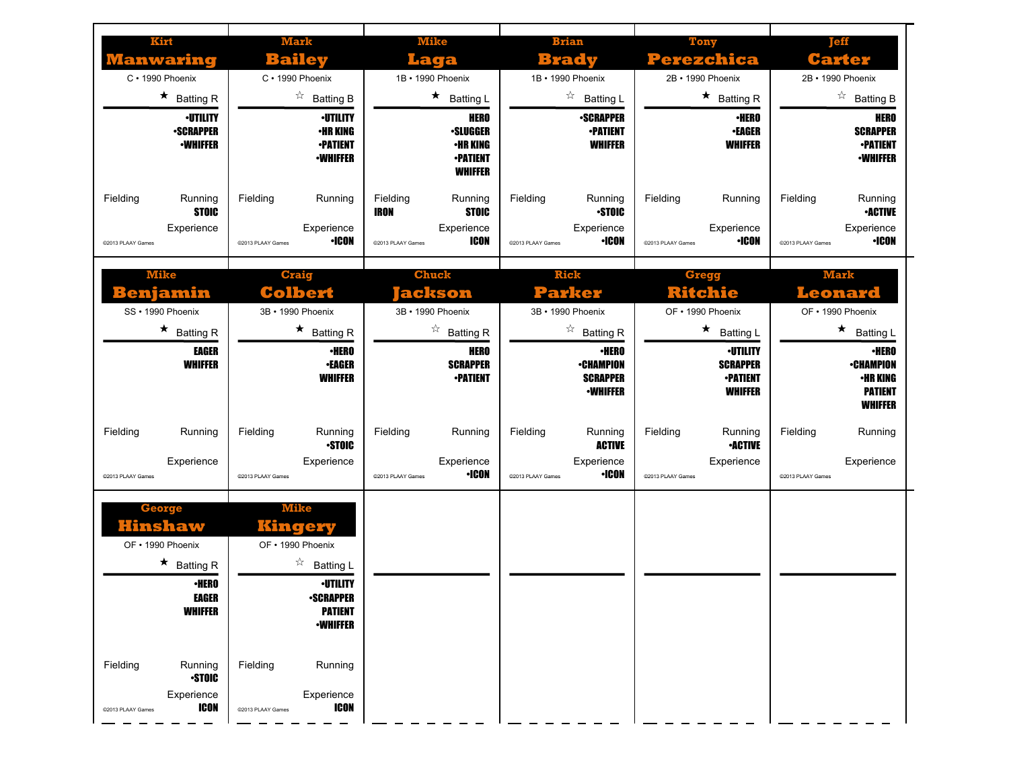| Kirt<br>Manwaring<br>C · 1990 Phoenix<br>$\star$ Batting R<br><b>•UTILITY</b><br><b>-SCRAPPER</b><br><b>-WHIFFER</b> | <b>Mark</b><br>Bailev<br>C · 1990 Phoenix<br>$\overrightarrow{a}$ Batting B<br><b>•UTILITY</b><br>•HR KING<br><b>•PATIENT</b><br><b>•WHIFFER</b> | <b>Mike</b><br>Laga<br>1B · 1990 Phoenix<br>$\star$ Batting L<br><b>HERO</b><br><b>•SLUGGER</b><br><b>·HR KING</b><br><b>•PATIENT</b><br><b>WHIFFER</b> | <b>Brian</b><br>Brady<br>1B · 1990 Phoenix<br>$\frac{1}{2}$<br><b>Batting L</b><br><b>-SCRAPPER</b><br><b>•PATIENT</b><br><b>WHIFFER</b>                      | Tony<br>Perezchica<br>2B · 1990 Phoenix<br>$\star$ Batting R<br><b>·HERO</b><br><b>•EAGER</b><br><b>WHIFFER</b>                                          | Teff<br>Carter<br>2B • 1990 Phoenix<br>☆<br><b>Batting B</b><br>HERO<br><b>SCRAPPER</b><br><b>-PATIENT</b><br><b>-WHIFFER</b>                                  |
|----------------------------------------------------------------------------------------------------------------------|--------------------------------------------------------------------------------------------------------------------------------------------------|---------------------------------------------------------------------------------------------------------------------------------------------------------|---------------------------------------------------------------------------------------------------------------------------------------------------------------|----------------------------------------------------------------------------------------------------------------------------------------------------------|----------------------------------------------------------------------------------------------------------------------------------------------------------------|
| Fielding<br>Running<br><b>STOIC</b><br>Experience<br>@2013 PLAAY Games                                               | Fielding<br>Running<br>Experience<br><b>·ICON</b><br>@2013 PLAAY Games                                                                           | Fielding<br>Running<br><b>STOIC</b><br><b>IRON</b><br>Experience<br>ICON<br>@2013 PLAAY Games                                                           | Fielding<br>Running<br><b>STOIC</b><br>Experience<br><b>•ICON</b><br>@2013 PLAAY Games                                                                        | Fielding<br>Running<br>Experience<br><b>•ICON</b><br>@2013 PLAAY Games                                                                                   | Fielding<br>Running<br><b>•ACTIVE</b><br>Experience<br>•ICON<br>@2013 PLAAY Games                                                                              |
| <b>Mike</b><br>enjamin<br>SS · 1990 Phoenix<br>$\star$ Batting R<br><b>EAGER</b><br><b>WHIFFER</b>                   | <b>Craig</b><br><b>Colbert</b><br>3B · 1990 Phoenix<br>$\star$ Batting R<br>∙HERO<br><b>•EAGER</b><br><b>WHIFFER</b>                             | <b>Chuck</b><br>ackson<br>3B · 1990 Phoenix<br>☆<br><b>Batting R</b><br><b>HERO</b><br><b>SCRAPPER</b><br><b>-PATIENT</b>                               | <b>Rick</b><br><b>Parker</b><br>3B · 1990 Phoenix<br>$\overrightarrow{a}$ Batting R<br><b>·HERO</b><br><b>•CHAMPION</b><br><b>SCRAPPER</b><br><b>-WHIFFER</b> | <b>Gregg</b><br><b>Ritchie</b><br>OF • 1990 Phoenix<br>★.<br><b>Batting L</b><br><b>·UTILITY</b><br><b>SCRAPPER</b><br><b>-PATIENT</b><br><b>WHIFFER</b> | <b>Mark</b><br>Leonard<br>OF • 1990 Phoenix<br>$\star$<br><b>Batting L</b><br>∙HERO<br><b>•CHAMPION</b><br><b>·HR KING</b><br><b>PATIENT</b><br><b>WHIFFER</b> |
| Fielding<br>Running<br>Experience<br>@2013 PLAAY Games                                                               | Fielding<br>Running<br><b>STOIC</b><br>Experience<br>@2013 PLAAY Games                                                                           | Fielding<br>Running<br>Experience<br><b>·ICON</b><br>@2013 PLAAY Games                                                                                  | Fielding<br>Running<br><b>ACTIVE</b><br>Experience<br><b>•ICON</b><br>@2013 PLAAY Games                                                                       | Fielding<br>Running<br><b>-ACTIVE</b><br>Experience<br>@2013 PLAAY Games                                                                                 | Fielding<br>Running<br>Experience<br>@2013 PLAAY Games                                                                                                         |
| <b>George</b><br>Hinshaw<br>OF • 1990 Phoenix                                                                        | <b>Mike</b><br>kinge .<br>OF • 1990 Phoenix                                                                                                      |                                                                                                                                                         |                                                                                                                                                               |                                                                                                                                                          |                                                                                                                                                                |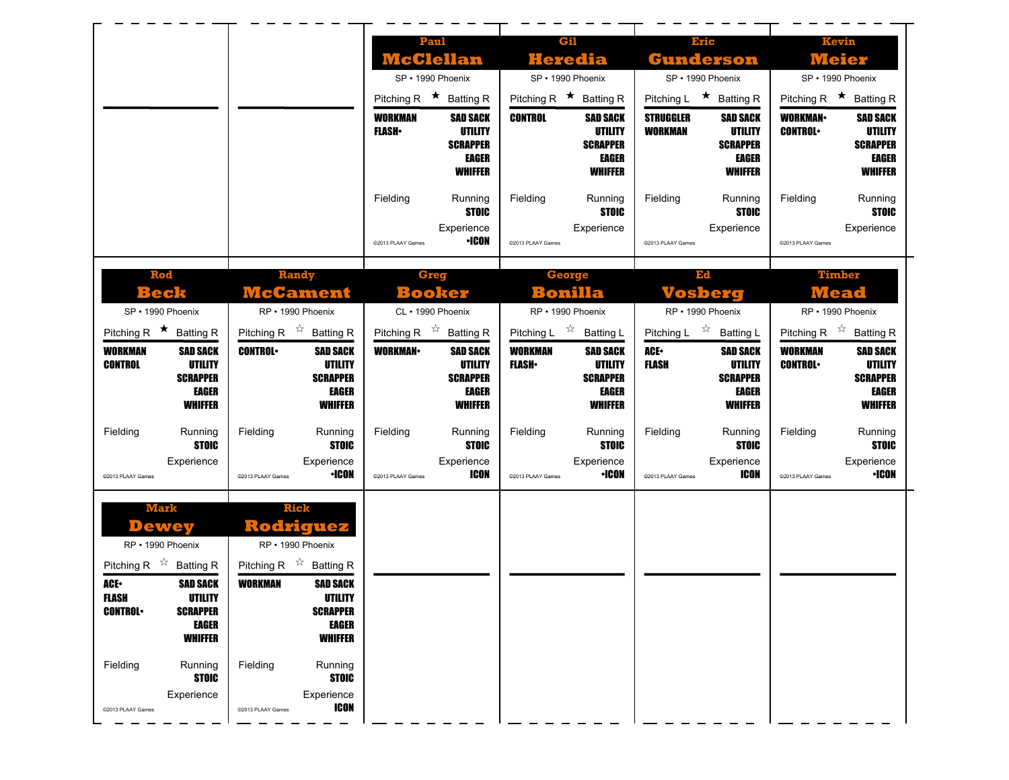|                                                                                                                                                                                                                     |                                                                                                                                                                                          | Paul<br><b>McClellan</b><br>SP · 1990 Phoenix<br>Pitching R $\star$ Batting R<br><b>WORKMAN</b><br><b>SAD SACK</b><br><b>UTILITY</b><br><b>FLASH</b> •<br><b>SCRAPPER</b><br><b>EAGER</b><br><b>WHIFFER</b><br>Fielding<br>Running | Gil<br><b>Heredia</b><br>SP · 1990 Phoenix<br>Pitching R $\star$ Batting R<br><b>CONTROL</b><br><b>SAD SACK</b><br><b>UTILITY</b><br><b>SCRAPPER</b><br>EAGER<br><b>WHIFFER</b><br>Fielding<br>Running | <b>Eric</b><br><b>Gunderson</b><br>SP · 1990 Phoenix<br>Pitching L $\star$ Batting R<br><b>STRUGGLER</b><br><b>SAD SACK</b><br><b>WORKMAN</b><br><b>UTILITY</b><br><b>SCRAPPER</b><br>EAGER<br><b>WHIFFER</b><br>Fielding<br>Running | <b>Kevin</b><br><b>Meier</b><br>SP · 1990 Phoenix<br>Pitching R $\star$ Batting R<br><b>WORKMAN</b><br><b>SAD SACK</b><br><b>CONTROL</b><br><b>UTILITY</b><br><b>SCRAPPER</b><br>EAGER<br><b>WHIFFER</b><br>Fielding<br>Running |
|---------------------------------------------------------------------------------------------------------------------------------------------------------------------------------------------------------------------|------------------------------------------------------------------------------------------------------------------------------------------------------------------------------------------|------------------------------------------------------------------------------------------------------------------------------------------------------------------------------------------------------------------------------------|--------------------------------------------------------------------------------------------------------------------------------------------------------------------------------------------------------|--------------------------------------------------------------------------------------------------------------------------------------------------------------------------------------------------------------------------------------|---------------------------------------------------------------------------------------------------------------------------------------------------------------------------------------------------------------------------------|
|                                                                                                                                                                                                                     |                                                                                                                                                                                          | <b>STOIC</b><br>Experience<br><b>•ICON</b><br>@2013 PLAAY Games                                                                                                                                                                    | <b>STOIC</b><br>Experience<br>@2013 PLAAY Games                                                                                                                                                        | <b>STOIC</b><br>Experience<br>@2013 PLAAY Games                                                                                                                                                                                      | <b>STOIC</b><br>Experience<br>@2013 PLAAY Games                                                                                                                                                                                 |
| Rod<br><b>Beck</b><br>SP · 1990 Phoenix                                                                                                                                                                             | <b>Randy</b><br><b>McCament</b><br>RP · 1990 Phoenix                                                                                                                                     | Greg<br><b>Booker</b><br>CL · 1990 Phoenix                                                                                                                                                                                         | <b>George</b><br>Bonilla<br>RP · 1990 Phoenix                                                                                                                                                          | Ed<br><b>Vosberg</b><br>RP · 1990 Phoenix                                                                                                                                                                                            | <b>Timber</b><br><b>Mead</b><br>RP · 1990 Phoenix                                                                                                                                                                               |
| Pitching R $\star$ Batting R<br><b>WORKMAN</b><br><b>SAD SACK</b><br><b>UTILITY</b><br><b>CONTROL</b><br><b>SCRAPPER</b><br>EAGER<br><b>WHIFFER</b>                                                                 | Pitching R $\hat{X}$ Batting R<br><b>CONTROL</b><br><b>SAD SACK</b><br><b>UTILITY</b><br><b>SCRAPPER</b><br>EAGER<br><b>WHIFFER</b>                                                      | Pitching R $\overrightarrow{x}$ Batting R<br><b>WORKMAN</b><br><b>SAD SACK</b><br><b>UTILITY</b><br><b>SCRAPPER</b><br>EAGER<br><b>WHIFFER</b>                                                                                     | Pitching L $\overrightarrow{x}$ Batting L<br><b>WORKMAN</b><br><b>SAD SACK</b><br><b>FLASH</b><br><b>UTILITY</b><br><b>SCRAPPER</b><br><b>EAGER</b><br><b>WHIFFER</b>                                  | Pitching L $\overrightarrow{x}$ Batting L<br>ACE.<br><b>SAD SACK</b><br><b>FLASH</b><br><b>UTILITY</b><br><b>SCRAPPER</b><br>EAGER<br><b>WHIFFER</b>                                                                                 | Pitching R $\overrightarrow{x}$ Batting R<br><b>WORKMAN</b><br><b>SAD SACK</b><br><b>CONTROL</b><br>UTILITY<br><b>SCRAPPER</b><br><b>EAGER</b><br><b>WHIFFER</b>                                                                |
| Fielding<br>Running<br><b>STOIC</b><br>Experience<br>@2013 PLAAY Games                                                                                                                                              | Fielding<br>Running<br><b>STOIC</b><br>Experience<br>•ICON<br>@2013 PLAAY Games                                                                                                          | Fielding<br>Running<br><b>STOIC</b><br>Experience<br>ICON<br>@2013 PLAAY Games                                                                                                                                                     | Fielding<br>Running<br><b>STOIC</b><br>Experience<br><b>·ICON</b><br>@2013 PLAAY Games                                                                                                                 | Fielding<br>Running<br><b>STOIC</b><br>Experience<br><b>ICON</b><br>@2013 PLAAY Games                                                                                                                                                | Fielding<br>Running<br><b>STOIC</b><br>Experience<br><b>•ICON</b><br>@2013 PLAAY Games                                                                                                                                          |
| <b>Mark</b><br><b>Dewey</b><br>RP · 1990 Phoenix<br>Pitching R $\overrightarrow{x}$ Batting R<br><b>SAD SACK</b><br>ACE.<br>FLASH<br>UTILITY<br><b>CONTROL</b><br><b>SCRAPPER</b><br><b>EAGER</b><br><b>WHIFFER</b> | <b>Rick</b><br>Rodriguez<br>RP · 1990 Phoenix<br>Pitching R $\overrightarrow{x}$ Batting R<br><b>WORKMAN</b><br><b>SAD SACK</b><br>UTILITY<br><b>SCRAPPER</b><br>EAGER<br><b>WHIFFER</b> |                                                                                                                                                                                                                                    |                                                                                                                                                                                                        |                                                                                                                                                                                                                                      |                                                                                                                                                                                                                                 |
| Fielding<br>Running<br><b>STOIC</b><br>Experience<br>@2013 PLAAY Games                                                                                                                                              | Fielding<br>Running<br><b>STOIC</b><br>Experience<br><b>ICON</b><br>@2013 PLAAY Games                                                                                                    |                                                                                                                                                                                                                                    |                                                                                                                                                                                                        |                                                                                                                                                                                                                                      |                                                                                                                                                                                                                                 |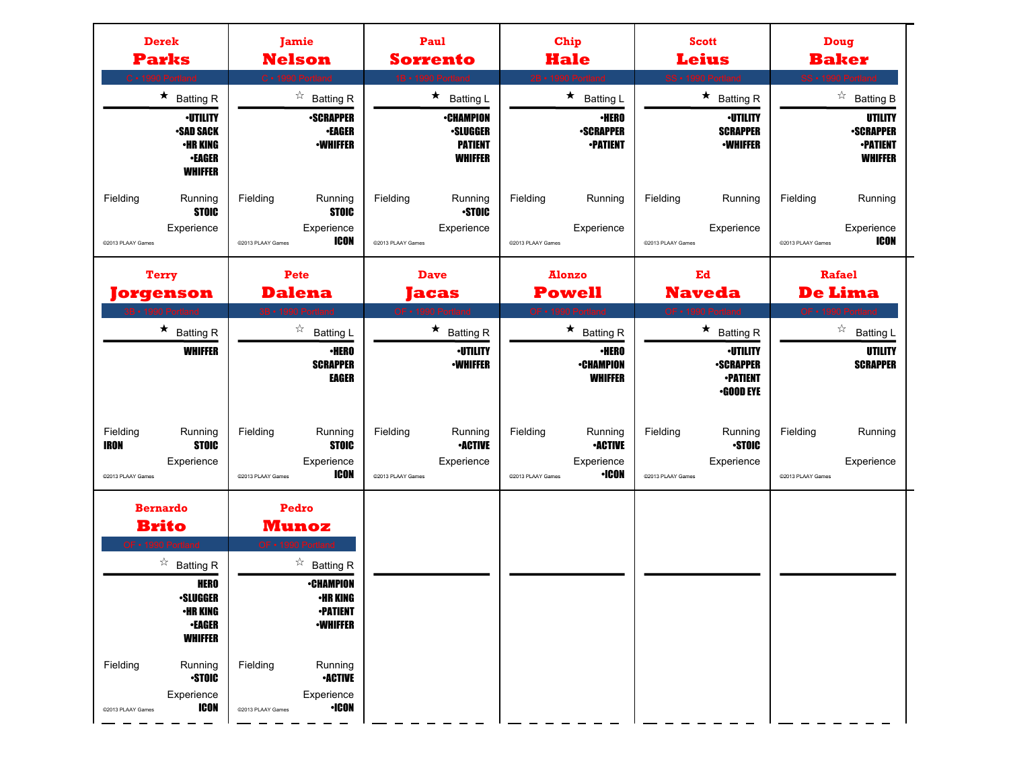| <b>Derek</b><br><b>Parks</b><br>C · 1990 Portland                                                                                     | Jamie<br><b>Nelson</b><br>C · 1990 Portland                                                                           | Paul<br><b>Sorrento</b><br>1B · 1990 Portla                              | <b>Chip</b><br><b>Hale</b><br>2B • 1990 Portland                                         | <b>Scott</b><br><b>Leius</b><br>SS · 1990 Port                             | Doug<br><b>Baker</b><br>SS · 1990 Portland                            |
|---------------------------------------------------------------------------------------------------------------------------------------|-----------------------------------------------------------------------------------------------------------------------|--------------------------------------------------------------------------|------------------------------------------------------------------------------------------|----------------------------------------------------------------------------|-----------------------------------------------------------------------|
| $\star$ Batting R                                                                                                                     | ☆<br><b>Batting R</b>                                                                                                 | $\star$<br><b>Batting L</b>                                              | $\star$<br><b>Batting L</b>                                                              | $\star$ Batting R                                                          | $\overrightarrow{a}$ Batting B                                        |
| <b>•UTILITY</b><br><b>•SAD SACK</b><br>•HR KING<br><b>•EAGER</b><br><b>WHIFFER</b>                                                    | <b>•SCRAPPER</b><br><b>.EAGER</b><br><b>•WHIFFER</b>                                                                  | <b>•CHAMPION</b><br><b>•SLUGGER</b><br><b>PATIENT</b><br><b>WHIFFER</b>  | <b>·HERO</b><br><b>-SCRAPPER</b><br><b>-PATIENT</b>                                      | <b><i>•UTILITY</i></b><br><b>SCRAPPER</b><br><b>-WHIFFER</b>               | UTILITY<br><b>-SCRAPPER</b><br><b>•PATIENT</b><br><b>WHIFFER</b>      |
| Fielding<br>Running<br><b>STOIC</b><br>Experience<br>@2013 PLAAY Games                                                                | Fielding<br>Running<br><b>STOIC</b><br>Experience<br>ICON<br>@2013 PLAAY Games                                        | Fielding<br>Running<br><b>STOIC</b><br>Experience<br>@2013 PLAAY Games   | Fielding<br>Running<br>Experience<br>@2013 PLAAY Games                                   | Fielding<br>Running<br>Experience<br>@2013 PLAAY Games                     | Fielding<br>Running<br>Experience<br><b>ICON</b><br>@2013 PLAAY Games |
| <b>Terry</b>                                                                                                                          | Pete                                                                                                                  | <b>Dave</b>                                                              | <b>Alonzo</b>                                                                            | Ed                                                                         | Rafael                                                                |
| Jorgenson                                                                                                                             | <b>Dalena</b>                                                                                                         | <b>acas</b>                                                              | <b>Powell</b><br>OF • 1990 Portland                                                      | <b>Naveda</b>                                                              | <b>De Lima</b><br>OF · 1990 Portland                                  |
| <b>BB</b> • 1990 Portland<br>$\star$ Batting R                                                                                        | 3B • 1990 Portland<br>☆<br><b>Batting L</b>                                                                           | OF • 1990 Portland<br>$\star$ Batting R                                  | $\star$ Batting R                                                                        | OF • 1990 Portland<br>$\star$ Batting R                                    | $\overrightarrow{a}$ Batting L                                        |
| <b>WHIFFER</b>                                                                                                                        | ∙HERO<br><b>SCRAPPER</b><br><b>EAGER</b>                                                                              | <b>·UTILITY</b><br><b>-WHIFFER</b>                                       | <b>·HERO</b><br><b>•CHAMPION</b><br><b>WHIFFER</b>                                       | <b>-UTILITY</b><br><b>-SCRAPPER</b><br><b>•PATIENT</b><br><b>.GOOD EYE</b> | UTILITY<br><b>SCRAPPER</b>                                            |
| Fielding<br>Running<br><b>STOIC</b><br>IRON<br>Experience<br>@2013 PLAAY Games                                                        | Fielding<br>Running<br><b>STOIC</b><br>Experience<br>ICON<br>@2013 PLAAY Games                                        | Fielding<br>Running<br><b>•ACTIVE</b><br>Experience<br>@2013 PLAAY Games | Fielding<br>Running<br><b>-ACTIVE</b><br>Experience<br><b>·ICON</b><br>@2013 PLAAY Games | Fielding<br>Running<br><b>STOIC</b><br>Experience<br>@2013 PLAAY Games     | Fielding<br>Running<br>Experience<br>@2013 PLAAY Games                |
| <b>Bernardo</b><br><b>Brito</b>                                                                                                       | Pedro<br><b>Munoz</b>                                                                                                 |                                                                          |                                                                                          |                                                                            |                                                                       |
| OF • 1990 Portland<br>$\overrightarrow{a}$ Batting R<br><b>HERO</b><br><b>•SLUGGER</b><br>•HR KING<br><b>•EAGER</b><br><b>WHIFFER</b> | OF . 1990 Por<br>$\overrightarrow{a}$ Batting R<br><b>•CHAMPION</b><br>•HR KING<br><b>-PATIENT</b><br><b>•WHIFFER</b> |                                                                          |                                                                                          |                                                                            |                                                                       |
| Fielding<br>Running<br><b>STOIC</b><br>Experience<br><b>ICON</b><br>@2013 PLAAY Games                                                 | Fielding<br>Running<br><b>-ACTIVE</b><br>Experience<br>$\cdot$ ICON<br>©2013 PLAAY Games                              |                                                                          |                                                                                          |                                                                            |                                                                       |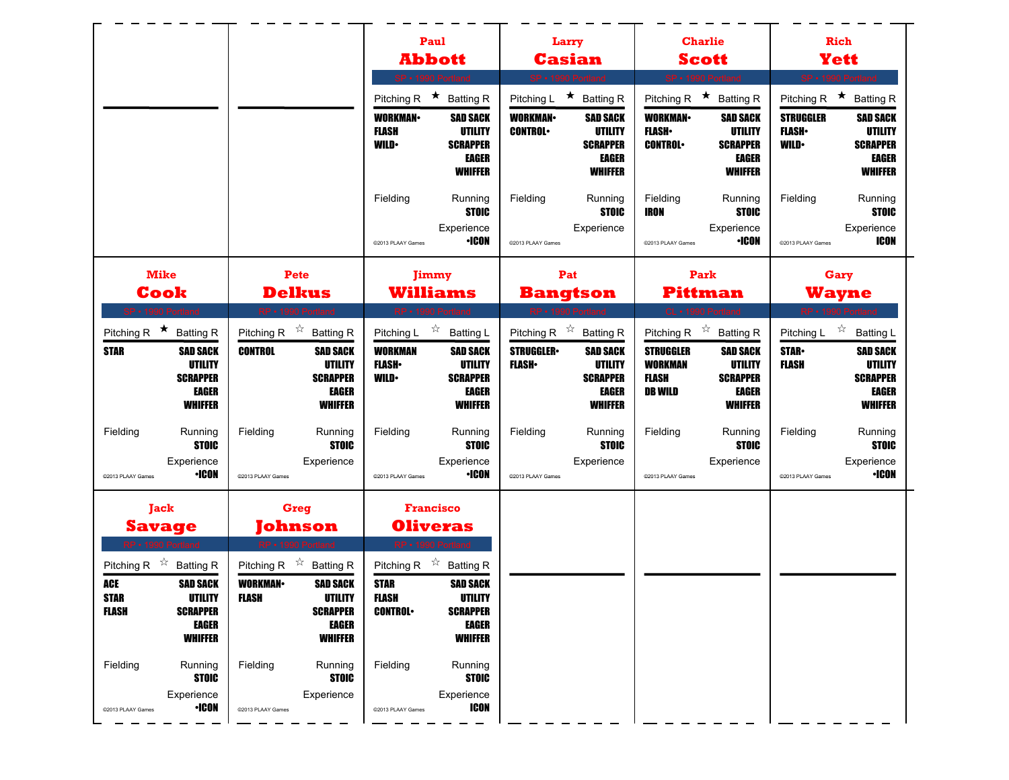|                                                                |                                                                                              |                                                             |                                                                                                          |                                                                                                    | Paul<br><b>Abbott</b>                                                                               |                                   | Larry<br><b>Casian</b>                                                                                                              |                                                                      | <b>Charlie</b><br><b>Scott</b>                                                                                                      |                                                 | <b>Rich</b><br><b>Yett</b>                                                                                        |
|----------------------------------------------------------------|----------------------------------------------------------------------------------------------|-------------------------------------------------------------|----------------------------------------------------------------------------------------------------------|----------------------------------------------------------------------------------------------------|-----------------------------------------------------------------------------------------------------|-----------------------------------|-------------------------------------------------------------------------------------------------------------------------------------|----------------------------------------------------------------------|-------------------------------------------------------------------------------------------------------------------------------------|-------------------------------------------------|-------------------------------------------------------------------------------------------------------------------|
|                                                                |                                                                                              |                                                             |                                                                                                          | Pitching R $\star$                                                                                 | SP · 1990 Portland<br><b>Batting R</b>                                                              | Pitching L                        | SP · 1990 Portland<br>★ Batting R                                                                                                   | Pitching R                                                           | SP · 1990 Portland<br>★ Batting R                                                                                                   | Pitching R                                      | SP · 1990 Portland<br>$\star$<br><b>Batting R</b>                                                                 |
|                                                                |                                                                                              |                                                             |                                                                                                          | <b>WORKMAN</b><br>FLASH<br><b>WILD</b>                                                             | <b>SAD SACK</b><br>UTILITY<br><b>SCRAPPER</b><br>EAGER<br><b>WHIFFER</b>                            | <b>WORKMAN-</b><br><b>CONTROL</b> | <b>SAD SACK</b><br>UTILITY<br><b>SCRAPPER</b><br><b>EAGER</b><br><b>WHIFFER</b>                                                     | <b>WORKMAN-</b><br><b>FLASH</b><br><b>CONTROL</b>                    | <b>SAD SACK</b><br>UTILITY<br><b>SCRAPPER</b><br><b>EAGER</b><br><b>WHIFFER</b>                                                     | <b>STRUGGLER</b><br><b>FLASH</b><br><b>WILD</b> | <b>SAD SACK</b><br>UTILITY<br><b>SCRAPPER</b><br><b>EAGER</b><br><b>WHIFFER</b>                                   |
|                                                                |                                                                                              |                                                             |                                                                                                          | Fielding<br>@2013 PLAAY Games                                                                      | Running<br><b>STOIC</b><br>Experience<br><b>•ICON</b>                                               | Fielding<br>@2013 PLAAY Games     | Running<br><b>STOIC</b><br>Experience                                                                                               | Fielding<br><b>IRON</b><br>@2013 PLAAY Games                         | Running<br><b>STOIC</b><br>Experience<br><b>•ICON</b>                                                                               | Fielding<br>@2013 PLAAY Games                   | Running<br><b>STOIC</b><br>Experience<br><b>ICON</b>                                                              |
| <b>Mike</b>                                                    |                                                                                              |                                                             | Pete                                                                                                     |                                                                                                    | Jimmy                                                                                               |                                   | Pat                                                                                                                                 |                                                                      | Park                                                                                                                                |                                                 | Gary                                                                                                              |
| Cook<br>SP · 1990 Portland                                     |                                                                                              |                                                             | <b>Delkus</b><br>RP · 1990 Portland                                                                      |                                                                                                    | Williams<br>RP · 1990 Portland                                                                      |                                   | <b>Bangtson</b><br>RP · 1990 Portland                                                                                               |                                                                      | Pittman<br>CL · 1990 Portland                                                                                                       |                                                 | <b>Wayne</b><br>RP - 1990 Portland                                                                                |
| Pitching R $\star$ Batting R<br><b>STAR</b>                    | <b>SAD SACK</b><br><b>UTILITY</b><br><b>SCRAPPER</b><br>EAGER<br><b>WHIFFER</b>              | Pitching R $\overrightarrow{x}$ Batting R<br><b>CONTROL</b> | <b>SAD SACK</b><br><b>UTILITY</b><br><b>SCRAPPER</b><br><b>EAGER</b><br><b>WHIFFER</b>                   | Pitching L<br><b>WORKMAN</b><br><b>FLASH</b><br><b>WILD</b>                                        | ☆ Batting L<br><b>SAD SACK</b><br><b>UTILITY</b><br><b>SCRAPPER</b><br>EAGER<br><b>WHIFFER</b>      | <b>STRUGGLER</b><br><b>FLASH</b>  | Pitching R $\overrightarrow{x}$ Batting R<br><b>SAD SACK</b><br><b>UTILITY</b><br><b>SCRAPPER</b><br><b>EAGER</b><br><b>WHIFFER</b> | <b>STRUGGLER</b><br><b>WORKMAN</b><br><b>FLASH</b><br><b>DB WILD</b> | Pitching R $\overrightarrow{x}$ Batting R<br><b>SAD SACK</b><br><b>UTILITY</b><br><b>SCRAPPER</b><br><b>EAGER</b><br><b>WHIFFER</b> | Pitching L<br><b>STAR-</b><br><b>FLASH</b>      | $\overrightarrow{a}$ Batting L<br><b>SAD SACK</b><br>UTILITY<br><b>SCRAPPER</b><br><b>EAGER</b><br><b>WHIFFER</b> |
| Fielding<br>@2013 PLAAY Games                                  | Running<br><b>STOIC</b><br>Experience<br><b>·ICON</b>                                        | Fielding<br>@2013 PLAAY Games                               | Running<br><b>STOIC</b><br>Experience                                                                    | Fielding<br>@2013 PLAAY Games                                                                      | Running<br><b>STOIC</b><br>Experience<br><b>•ICON</b>                                               | Fielding<br>@2013 PLAAY Games     | Running<br><b>STOIC</b><br>Experience                                                                                               | Fielding<br>@2013 PLAAY Games                                        | Running<br><b>STOIC</b><br>Experience                                                                                               | Fielding<br>@2013 PLAAY Games                   | Running<br><b>STOIC</b><br>Experience<br><b>•ICON</b>                                                             |
| Jack<br><b>Savage</b>                                          |                                                                                              |                                                             | Greg<br>ohnson                                                                                           |                                                                                                    | <b>Francisco</b><br><b>Oliveras</b>                                                                 |                                   |                                                                                                                                     |                                                                      |                                                                                                                                     |                                                 |                                                                                                                   |
| Pitching R $\sqrt[3]{x}$<br>ACE<br><b>STAR</b><br><b>FLASH</b> | <b>Batting R</b><br><b>SAD SACK</b><br>UTILITY<br><b>SCRAPPER</b><br>EAGER<br><b>WHIFFER</b> | Pitching R<br><b>WORKMAN</b><br><b>FLASH</b>                | ☆<br><b>Batting R</b><br><b>SAD SACK</b><br><b>UTILITY</b><br><b>SCRAPPER</b><br>EAGER<br><b>WHIFFER</b> | <b>RP · 1990 Port</b><br>Pitching R $\sqrt[3]{x}$<br><b>STAR</b><br><b>FLASH</b><br><b>CONTROL</b> | <b>Batting R</b><br><b>SAD SACK</b><br>UTILITY<br><b>SCRAPPER</b><br><b>EAGER</b><br><b>WHIFFER</b> |                                   |                                                                                                                                     |                                                                      |                                                                                                                                     |                                                 |                                                                                                                   |
| Fielding<br>@2013 PLAAY Games                                  | Running<br><b>STOIC</b><br>Experience<br>$\cdot$ ICON                                        | Fielding<br>@2013 PLAAY Games                               | Running<br><b>STOIC</b><br>Experience                                                                    | Fielding<br>@2013 PLAAY Games                                                                      | Running<br><b>STOIC</b><br>Experience<br><b>ICON</b>                                                |                                   |                                                                                                                                     |                                                                      |                                                                                                                                     |                                                 |                                                                                                                   |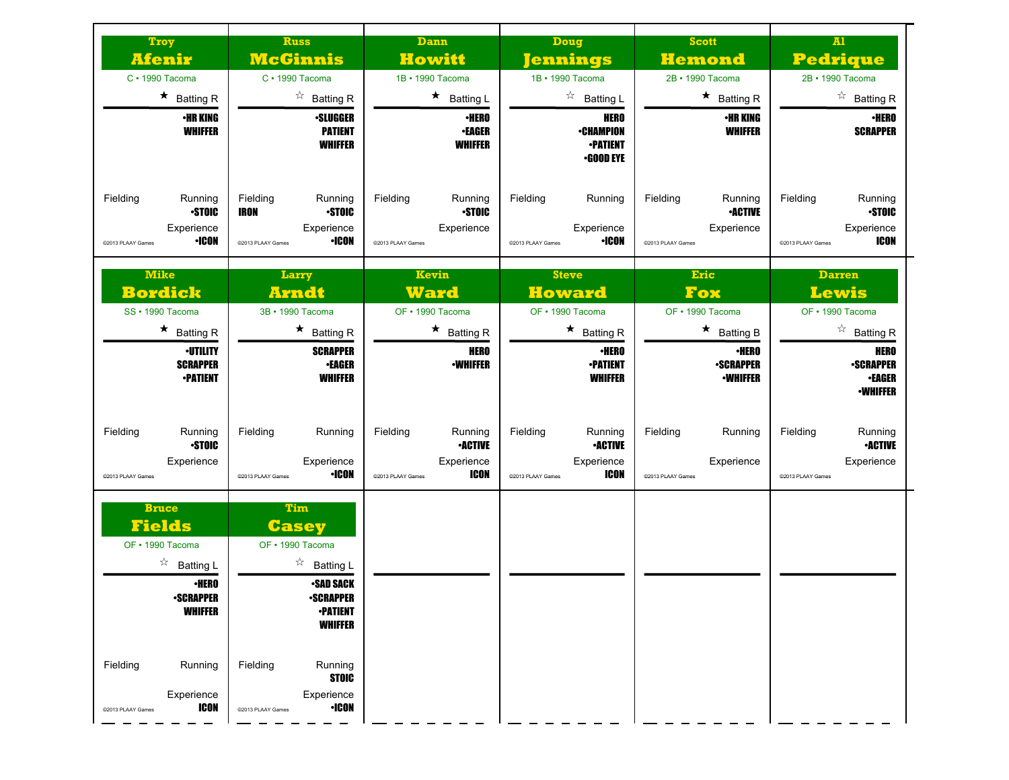| Troy<br><u>Afenir</u><br>$C \cdot 1990$ Tacoma<br>$\star$ Batting R<br><b>•HR KING</b><br><b>WHIFFER</b>                                                                                                           | <b>Russ</b><br><b>McGinnis</b><br>$C \cdot 1990$ Tacoma<br>$\overrightarrow{a}$ Batting R<br><b>•SLUGGER</b><br><b>PATIENT</b><br><b>WHIFFER</b>                                                                                                 | <b>Dann</b><br><b>Howitt</b><br>1B · 1990 Tacoma<br>$\star$ Batting L<br><b>•HERO</b><br><b>•EAGER</b><br><b>WHIFFER</b> | <b>Doug</b><br><u> Jennings</u><br>1B · 1990 Tacoma<br>$\overrightarrow{a}$ Batting L<br><b>HERO</b><br><b>•CHAMPION</b><br><b>-PATIENT</b><br><b>•GOOD EYE</b> | <b>Scott</b><br><b>Hemond</b><br>2B · 1990 Tacoma<br>$\star$ Batting R<br><b>•HR KING</b><br><b>WHIFFER</b>        | $\mathbf{M}$<br><b>Pedrique</b><br>2B · 1990 Tacoma<br>$\overrightarrow{a}$ Batting R<br>$\cdot$ HERO<br><b>SCRAPPER</b>                     |
|--------------------------------------------------------------------------------------------------------------------------------------------------------------------------------------------------------------------|--------------------------------------------------------------------------------------------------------------------------------------------------------------------------------------------------------------------------------------------------|--------------------------------------------------------------------------------------------------------------------------|-----------------------------------------------------------------------------------------------------------------------------------------------------------------|--------------------------------------------------------------------------------------------------------------------|----------------------------------------------------------------------------------------------------------------------------------------------|
| Fielding<br>Running<br><b>STOIC</b><br>Experience<br>•ICON<br>@2013 PLAAY Games                                                                                                                                    | Fielding<br>Running<br><b>STOIC</b><br>IRON<br>Experience<br><b>·ICON</b><br>@2013 PLAAY Games                                                                                                                                                   | Fielding<br>Running<br><b>STOIC</b><br>Experience<br>@2013 PLAAY Games                                                   | Fielding<br>Running<br>Experience<br><b>·ICON</b><br>@2013 PLAAY Games                                                                                          | Fielding<br>Running<br><b>-ACTIVE</b><br>Experience<br>@2013 PLAAY Games                                           | Fielding<br>Running<br><b>STOIC</b><br>Experience<br>ICON<br>@2013 PLAAY Games                                                               |
| <b>Mike</b><br><b>Bordick</b><br>SS · 1990 Tacoma<br>$\star$ Batting R<br>∙UTILITY<br><b>SCRAPPER</b><br><b>•PATIENT</b>                                                                                           | Larry<br><b>Arndt</b><br>3B · 1990 Tacoma<br>$\star$ Batting R<br><b>SCRAPPER</b><br><b>•EAGER</b><br><b>WHIFFER</b>                                                                                                                             | Kevin<br><b>Ward</b><br>OF · 1990 Tacoma<br>$\star$ Batting R<br><b>HERO</b><br><b>-WHIFFER</b>                          | <b>Steve</b><br><b>Howard</b><br>OF • 1990 Tacoma<br>$\star$ Batting R<br><b>·HERO</b><br><b>-PATIENT</b><br><b>WHIFFER</b>                                     | <b>Eric</b><br>Fox<br>OF · 1990 Tacoma<br>$\star$ Batting B<br><b>·HERO</b><br><b>-SCRAPPER</b><br><b>-WHIFFER</b> | <b>Darren</b><br>Lewis<br>OF · 1990 Tacoma<br>$\overrightarrow{a}$ Batting R<br>HERO<br><b>-SCRAPPER</b><br><b>•EAGER</b><br><b>-WHIFFER</b> |
| Fielding<br>Running<br><b>STOIC</b><br>Experience<br>@2013 PLAAY Games                                                                                                                                             | Fielding<br>Running<br>Experience<br><b>·ICON</b><br>@2013 PLAAY Games                                                                                                                                                                           | Fielding<br>Running<br><b>•ACTIVE</b><br>Experience<br>ICON<br>@2013 PLAAY Games                                         | Fielding<br>Running<br><b>•ACTIVE</b><br>Experience<br>ICON<br>@2013 PLAAY Games                                                                                | Fielding<br>Running<br>Experience<br>@2013 PLAAY Games                                                             | Fielding<br>Running<br><b>•ACTIVE</b><br>Experience<br>@2013 PLAAY Games                                                                     |
| <b>Bruce</b><br><b>Fields</b><br>OF • 1990 Tacoma<br>$\overrightarrow{a}$ Batting L<br><b>•HERO</b><br><b>•SCRAPPER</b><br><b>WHIFFER</b><br>Fielding<br>Running<br>Experience<br><b>ICON</b><br>@2013 PLAAY Games | <b>Tim</b><br><b>Casey</b><br>OF · 1990 Tacoma<br>$\sqrt[3]{ }$ Batting L<br><b>•SAD SACK</b><br><b>•SCRAPPER</b><br><b>•PATIENT</b><br><b>WHIFFER</b><br>Fielding<br>Running<br><b>STOIC</b><br>Experience<br>$\cdot$ ICON<br>@2013 PLAAY Games |                                                                                                                          |                                                                                                                                                                 |                                                                                                                    |                                                                                                                                              |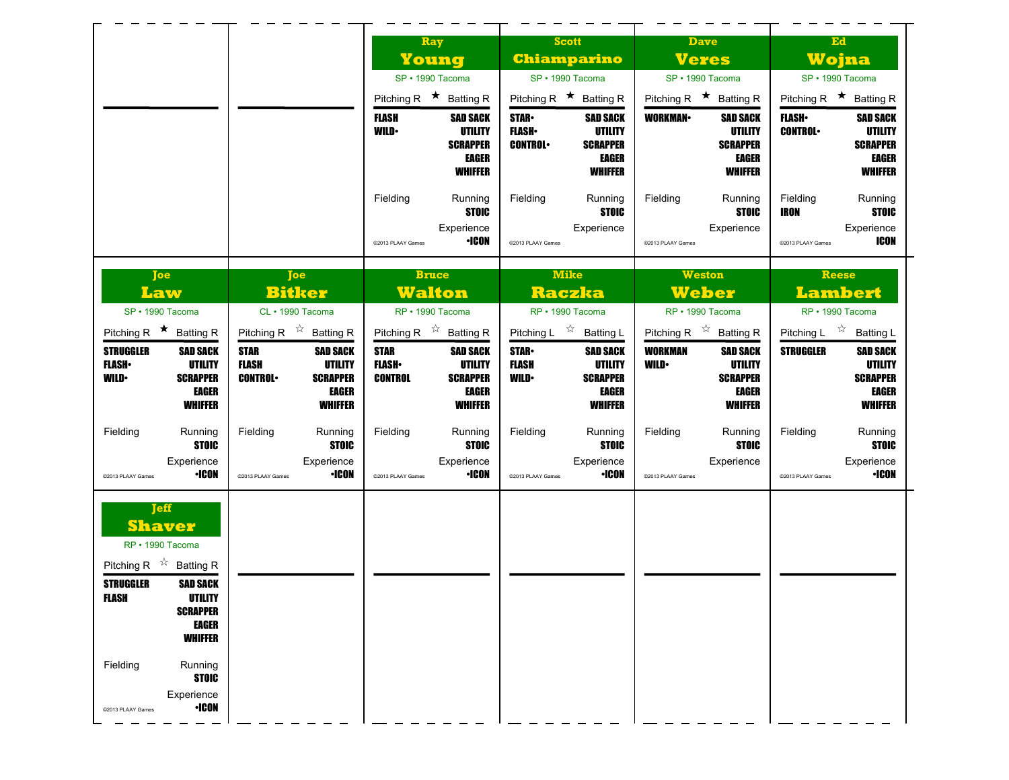|                                                                                                                                                                                                        |                                                                                                                           | Ray                                                                                                                                | <b>Scott</b>                                                                                                                   | <b>Dave</b>                                                                                                       | Ed                                                                                                                |
|--------------------------------------------------------------------------------------------------------------------------------------------------------------------------------------------------------|---------------------------------------------------------------------------------------------------------------------------|------------------------------------------------------------------------------------------------------------------------------------|--------------------------------------------------------------------------------------------------------------------------------|-------------------------------------------------------------------------------------------------------------------|-------------------------------------------------------------------------------------------------------------------|
|                                                                                                                                                                                                        |                                                                                                                           | Young                                                                                                                              | <b>Chiamparino</b>                                                                                                             | <b>Veres</b>                                                                                                      | Wojna                                                                                                             |
|                                                                                                                                                                                                        |                                                                                                                           | SP · 1990 Tacoma<br>Pitching R $\star$ Batting R                                                                                   | SP · 1990 Tacoma<br>Pitching R $\star$ Batting R                                                                               | SP · 1990 Tacoma<br>Pitching R $\star$ Batting R                                                                  | SP · 1990 Tacoma<br>Pitching R $\star$ Batting R                                                                  |
|                                                                                                                                                                                                        |                                                                                                                           | <b>FLASH</b><br><b>SAD SACK</b><br><b>UTILITY</b><br><b>WILD</b><br><b>SCRAPPER</b><br><b>EAGER</b><br><b>WHIFFER</b>              | <b>STAR</b><br><b>SAD SACK</b><br><b>FLASH</b> •<br>UTILITY<br><b>SCRAPPER</b><br><b>CONTROL</b><br>EAGER<br><b>WHIFFER</b>    | <b>WORKMAN-</b><br><b>SAD SACK</b><br>UTILITY<br><b>SCRAPPER</b><br>EAGER<br><b>WHIFFER</b>                       | <b>FLASH</b><br><b>SAD SACK</b><br><b>CONTROL</b><br>UTILITY<br><b>SCRAPPER</b><br><b>EAGER</b><br><b>WHIFFER</b> |
|                                                                                                                                                                                                        |                                                                                                                           | Fielding<br>Running<br><b>STOIC</b><br>Experience<br><b>·ICON</b><br>@2013 PLAAY Games                                             | Fielding<br>Running<br><b>STOIC</b><br>Experience<br>@2013 PLAAY Games                                                         | Fielding<br>Running<br><b>STOIC</b><br>Experience<br>@2013 PLAAY Games                                            | Fielding<br>Running<br><b>IRON</b><br><b>STOIC</b><br>Experience<br><b>ICON</b><br>@2013 PLAAY Games              |
| Joe<br>Law<br>SP · 1990 Tacoma                                                                                                                                                                         | Joe<br><b>Bitker</b><br>CL · 1990 Tacoma                                                                                  | <b>Bruce</b><br><b>Walton</b><br>RP · 1990 Tacoma                                                                                  | <b>Mike</b><br><b>Raczka</b><br>RP · 1990 Tacoma                                                                               | <b>Weston</b><br><b>Weber</b><br>RP · 1990 Tacoma                                                                 | <b>Reese</b><br><b>Lambert</b><br>RP · 1990 Tacoma                                                                |
| Pitching R $\star$ Batting R                                                                                                                                                                           | Pitching R $\overrightarrow{x}$ Batting R                                                                                 | Pitching R $\overrightarrow{x}$ Batting R                                                                                          | Pitching L $\overrightarrow{x}$ Batting L                                                                                      | Pitching R $\overrightarrow{x}$ Batting R                                                                         | Pitching L $\overrightarrow{x}$ Batting L                                                                         |
| <b>STRUGGLER</b><br><b>SAD SACK</b><br><b>UTILITY</b><br><b>FLASH</b> •<br><b>WILD</b><br><b>SCRAPPER</b><br>EAGER<br><b>WHIFFER</b>                                                                   | <b>STAR</b><br><b>SAD SACK</b><br><b>FLASH</b><br>UTILITY<br><b>SCRAPPER</b><br><b>CONTROL</b><br>EAGER<br><b>WHIFFER</b> | <b>STAR</b><br><b>SAD SACK</b><br><b>UTILITY</b><br><b>FLASH</b> •<br><b>SCRAPPER</b><br>CONTROL<br><b>EAGER</b><br><b>WHIFFER</b> | <b>STAR-</b><br><b>SAD SACK</b><br><b>FLASH</b><br><b>UTILITY</b><br><b>WILD</b><br><b>SCRAPPER</b><br>EAGER<br><b>WHIFFER</b> | <b>WORKMAN</b><br><b>SAD SACK</b><br><b>UTILITY</b><br><b>WILD•</b><br><b>SCRAPPER</b><br>EAGER<br><b>WHIFFER</b> | <b>STRUGGLER</b><br><b>SAD SACK</b><br>UTILITY<br><b>SCRAPPER</b><br><b>EAGER</b><br><b>WHIFFER</b>               |
| Fielding<br>Running<br><b>STOIC</b><br>Experience<br>•ICON<br>@2013 PLAAY Games                                                                                                                        | Fielding<br>Running<br><b>STOIC</b><br>Experience<br><b>·ICON</b><br>@2013 PLAAY Games                                    | Fielding<br>Running<br><b>STOIC</b><br>Experience<br><b>•ICON</b><br>@2013 PLAAY Games                                             | Fielding<br>Running<br><b>STOIC</b><br>Experience<br><b>·ICON</b><br>@2013 PLAAY Games                                         | Fielding<br>Running<br><b>STOIC</b><br>Experience<br>@2013 PLAAY Games                                            | Fielding<br>Running<br><b>STOIC</b><br>Experience<br><b>•ICON</b><br>@2013 PLAAY Games                            |
| <b>Jeff</b><br><b>Shaver</b><br>RP · 1990 Tacoma<br>Pitching R $\overrightarrow{x}$ Batting R<br><b>STRUGGLER</b><br><b>SAD SACK</b><br>FLASH<br>UTILITY<br><b>SCRAPPER</b><br>EAGER<br><b>WHIFFER</b> |                                                                                                                           |                                                                                                                                    |                                                                                                                                |                                                                                                                   |                                                                                                                   |
| Fielding<br>Running<br><b>STOIC</b><br>Experience<br><b>•ICON</b><br>@2013 PLAAY Games                                                                                                                 |                                                                                                                           |                                                                                                                                    |                                                                                                                                |                                                                                                                   |                                                                                                                   |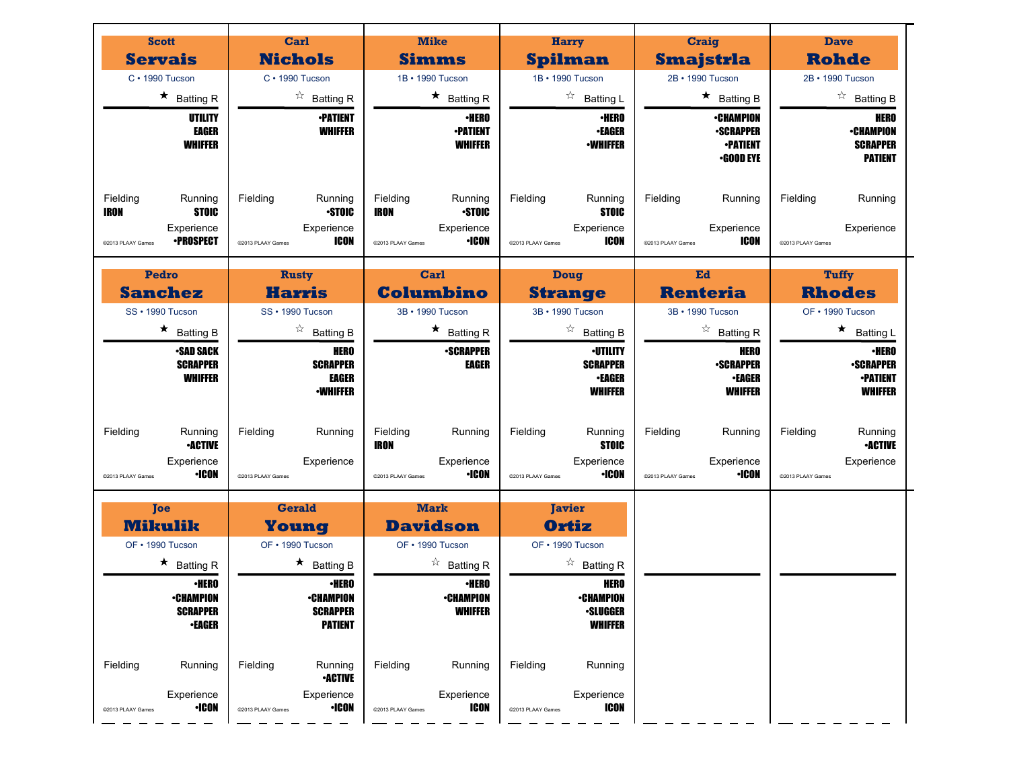| <b>Scott</b>                                                                                       | Carl                                                                           | <b>Mike</b>                                                                                    |                                                                                        |                                                                             | <b>Dave</b>                                                              |
|----------------------------------------------------------------------------------------------------|--------------------------------------------------------------------------------|------------------------------------------------------------------------------------------------|----------------------------------------------------------------------------------------|-----------------------------------------------------------------------------|--------------------------------------------------------------------------|
| <b>Servais</b>                                                                                     | <b>Nichols</b>                                                                 | Simms                                                                                          | <b>Harry</b><br><b>Spilman</b>                                                         | <b>Craig</b><br><b>Smajstrla</b>                                            | <b>Rohde</b>                                                             |
| $C \cdot 1990$ Tucson                                                                              | C · 1990 Tucson                                                                | 1B · 1990 Tucson                                                                               | 1B • 1990 Tucson                                                                       | 2B • 1990 Tucson                                                            | 2B · 1990 Tucson                                                         |
| $\star$ Batting R                                                                                  | $\overrightarrow{a}$ Batting R                                                 | $\star$ Batting R                                                                              | ☆<br><b>Batting L</b>                                                                  | $\star$ Batting B                                                           | $\overrightarrow{a}$ Batting B                                           |
| UTILITY<br><b>EAGER</b><br><b>WHIFFER</b>                                                          | <b>•PATIENT</b><br><b>WHIFFER</b>                                              | ∙HERO<br><b>-PATIENT</b><br><b>WHIFFER</b>                                                     | <b>•HERO</b><br><b>•EAGER</b><br><b>•WHIFFER</b>                                       | <b>•CHAMPION</b><br><b>•SCRAPPER</b><br><b>-PATIENT</b><br><b>.GOOD EYE</b> | HERO<br><b>•CHAMPION</b><br><b>SCRAPPER</b><br><b>PATIENT</b>            |
| Fielding<br>Running<br><b>IRON</b><br><b>STOIC</b><br>Experience<br>∙PROSPECT<br>@2013 PLAAY Games | Fielding<br>Running<br><b>STOIC</b><br>Experience<br>ICON<br>@2013 PLAAY Games | Fielding<br>Running<br><b>STOIC</b><br><b>IRON</b><br>Experience<br>·ICON<br>@2013 PLAAY Games | Fielding<br>Running<br><b>STOIC</b><br>Experience<br>ICON<br>@2013 PLAAY Games         | Fielding<br>Running<br>Experience<br>ICON<br>@2013 PLAAY Games              | Fielding<br>Running<br>Experience<br>@2013 PLAAY Games                   |
| Pedro                                                                                              | <b>Rusty</b>                                                                   | Carl                                                                                           | Doug                                                                                   | Ed                                                                          | Tuffy                                                                    |
| <b>Sanchez</b>                                                                                     | <b>Harris</b>                                                                  | <b>Columbino</b>                                                                               | <b>Strange</b>                                                                         | <b>Renteria</b>                                                             | <b>Rhodes</b>                                                            |
| SS · 1990 Tucson                                                                                   | SS · 1990 Tucson                                                               | 3B · 1990 Tucson                                                                               | 3B · 1990 Tucson                                                                       | 3B · 1990 Tucson                                                            | OF • 1990 Tucson                                                         |
| $\star$ Batting B                                                                                  | $\overrightarrow{a}$ Batting B                                                 | $\star$ Batting R                                                                              | ☆<br><b>Batting B</b>                                                                  | $\overrightarrow{a}$ Batting R                                              | $\star$ Batting L                                                        |
| <b>•SAD SACK</b><br><b>SCRAPPER</b><br><b>WHIFFER</b>                                              | HERO<br><b>SCRAPPER</b><br><b>EAGER</b><br><b>-WHIFFER</b>                     | <b>-SCRAPPER</b><br><b>EAGER</b>                                                               | <b>·UTILITY</b><br><b>SCRAPPER</b><br><b>•EAGER</b><br><b>WHIFFER</b>                  | <b>HERO</b><br><b>-SCRAPPER</b><br><b>•EAGER</b><br><b>WHIFFER</b>          | ∙HERO<br><b>•SCRAPPER</b><br><b>•PATIENT</b><br><b>WHIFFER</b>           |
| Fielding<br>Running<br><b>•ACTIVE</b><br>Experience<br><b>·ICON</b><br>@2013 PLAAY Games           | Fielding<br>Running<br>Experience<br>@2013 PLAAY Games                         | Fielding<br>Running<br><b>IRON</b><br>Experience<br><b>•ICON</b><br>@2013 PLAAY Games          | Fielding<br>Running<br><b>STOIC</b><br>Experience<br><b>•ICON</b><br>@2013 PLAAY Games | Fielding<br>Running<br>Experience<br><b>•ICON</b><br>@2013 PLAAY Games      | Fielding<br>Running<br><b>•ACTIVE</b><br>Experience<br>@2013 PLAAY Games |
| <b>Toe</b>                                                                                         | <b>Gerald</b>                                                                  | <b>Mark</b>                                                                                    | <b>Javier</b>                                                                          |                                                                             |                                                                          |
| <b>Mikulik</b>                                                                                     | Young                                                                          | <b>Davidson</b>                                                                                | Ortiz                                                                                  |                                                                             |                                                                          |
| OF • 1990 Tucson                                                                                   | OF • 1990 Tucson                                                               | OF • 1990 Tucson                                                                               | OF • 1990 Tucson                                                                       |                                                                             |                                                                          |
| $\star$ Batting R                                                                                  | $\star$ Batting B                                                              | $\overrightarrow{a}$ Batting R                                                                 | $\overrightarrow{a}$ Batting R                                                         |                                                                             |                                                                          |
| ∙HERO<br><b>•CHAMPION</b><br><b>SCRAPPER</b><br><b>•EAGER</b>                                      | ∙HERO<br><b>•CHAMPION</b><br><b>SCRAPPER</b><br><b>PATIENT</b>                 | ∙HERO<br><b>•CHAMPION</b><br><b>WHIFFER</b>                                                    | <b>HERO</b><br><b>•CHAMPION</b><br><b>·SLUGGER</b><br><b>WHIFFER</b>                   |                                                                             |                                                                          |
| Fielding<br>Running<br>Experience                                                                  | Fielding<br>Running<br><b>-ACTIVE</b><br>Experience                            | Fielding<br>Running<br>Experience                                                              | Fielding<br>Running<br>Experience                                                      |                                                                             |                                                                          |
| $\cdot$ ICON<br>@2013 PLAAY Games                                                                  | $\cdot$ ICON<br>@2013 PLAAY Games                                              | ICON<br>@2013 PLAAY Games                                                                      | <b>ICON</b><br>@2013 PLAAY Games                                                       |                                                                             |                                                                          |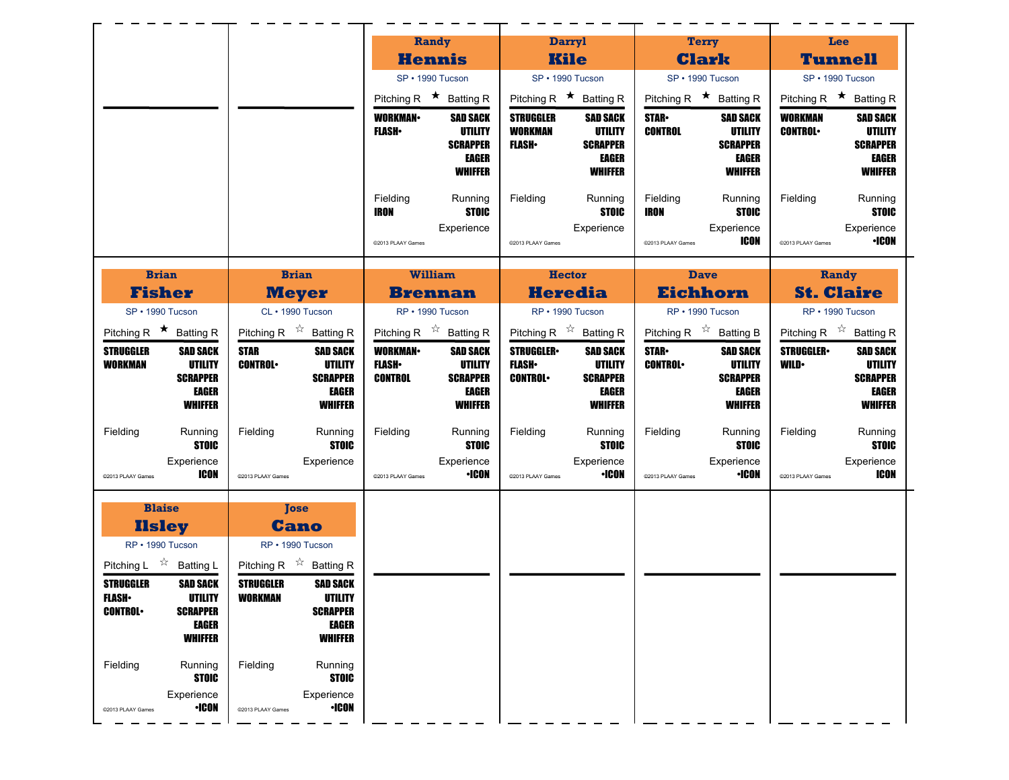|                                                                                                                                  |                                                                                                                | Randy                                                                                                         | <b>Darryl</b>                                                                                                                    | <b>Terry</b>                                                                                              | Lee                                                                                                                 |
|----------------------------------------------------------------------------------------------------------------------------------|----------------------------------------------------------------------------------------------------------------|---------------------------------------------------------------------------------------------------------------|----------------------------------------------------------------------------------------------------------------------------------|-----------------------------------------------------------------------------------------------------------|---------------------------------------------------------------------------------------------------------------------|
|                                                                                                                                  |                                                                                                                | <b>Hennis</b>                                                                                                 | <b>Kile</b>                                                                                                                      | <b>Clark</b>                                                                                              | <b>Tunnell</b>                                                                                                      |
|                                                                                                                                  |                                                                                                                | SP · 1990 Tucson                                                                                              | SP · 1990 Tucson                                                                                                                 | SP · 1990 Tucson                                                                                          | SP · 1990 Tucson                                                                                                    |
|                                                                                                                                  |                                                                                                                | Pitching R $\star$ Batting R                                                                                  | Pitching R $\star$ Batting R                                                                                                     | Pitching R $\star$ Batting R                                                                              | Pitching R $\star$ Batting R                                                                                        |
|                                                                                                                                  |                                                                                                                | <b>WORKMAN-</b><br><b>SAD SACK</b><br>UTILITY<br><b>FLASH</b> •<br><b>SCRAPPER</b><br>EAGER<br><b>WHIFFER</b> | <b>STRUGGLER</b><br><b>SAD SACK</b><br><b>WORKMAN</b><br>UTILITY<br><b>FLASH</b> •<br><b>SCRAPPER</b><br>EAGER<br><b>WHIFFER</b> | <b>STAR</b><br><b>SAD SACK</b><br><b>CONTROL</b><br>UTILITY<br><b>SCRAPPER</b><br>EAGER<br><b>WHIFFER</b> | <b>WORKMAN</b><br><b>SAD SACK</b><br><b>CONTROL</b><br>UTILITY<br><b>SCRAPPER</b><br><b>EAGER</b><br><b>WHIFFER</b> |
|                                                                                                                                  |                                                                                                                | Fielding<br>Running<br><b>STOIC</b><br>IRON<br>Experience<br>@2013 PLAAY Games                                | Fielding<br>Running<br><b>STOIC</b><br>Experience<br>@2013 PLAAY Games                                                           | Fielding<br>Running<br><b>STOIC</b><br>IRON<br>Experience<br><b>ICON</b><br>@2013 PLAAY Games             | Fielding<br>Running<br><b>STOIC</b><br>Experience<br>•ICON<br>@2013 PLAAY Games                                     |
| <b>Brian</b>                                                                                                                     | <b>Brian</b>                                                                                                   | <b>William</b>                                                                                                | <b>Hector</b>                                                                                                                    | <b>Dave</b>                                                                                               | Randy                                                                                                               |
| <b>Fisher</b>                                                                                                                    | <b>Meyer</b>                                                                                                   | <b>Brennan</b>                                                                                                | <b>Heredia</b>                                                                                                                   | <b>Eichhorn</b>                                                                                           | <b>St. Claire</b>                                                                                                   |
| SP · 1990 Tucson                                                                                                                 | CL · 1990 Tucson                                                                                               | RP · 1990 Tucson                                                                                              | RP · 1990 Tucson                                                                                                                 | RP · 1990 Tucson                                                                                          | RP · 1990 Tucson                                                                                                    |
| Pitching R $\star$ Batting R<br><b>STRUGGLER</b><br><b>SAD SACK</b>                                                              | Pitching R $\overrightarrow{x}$ Batting R<br><b>STAR</b><br><b>SAD SACK</b>                                    | Pitching R $\overrightarrow{x}$ Batting R<br><b>WORKMAN</b><br><b>SAD SACK</b>                                | Pitching R $\overrightarrow{x}$ Batting R<br><b>STRUGGLER</b><br><b>SAD SACK</b>                                                 | Pitching R $\overrightarrow{x}$ Batting B<br><b>STAR</b><br><b>SAD SACK</b>                               | Pitching R $\overrightarrow{x}$ Batting R<br><b>STRUGGLER-</b><br><b>SAD SACK</b>                                   |
| <b>UTILITY</b><br><b>WORKMAN</b>                                                                                                 | <b>CONTROL</b><br>UTILITY                                                                                      | <b>FLASH</b><br>UTILITY                                                                                       | <b>UTILITY</b><br><b>FLASH</b> •                                                                                                 | <b>UTILITY</b><br><b>CONTROL</b>                                                                          | UTILITY<br>WILD∙                                                                                                    |
| <b>SCRAPPER</b>                                                                                                                  | <b>SCRAPPER</b>                                                                                                | <b>CONTROL</b><br><b>SCRAPPER</b>                                                                             | <b>CONTROL</b><br><b>SCRAPPER</b>                                                                                                | <b>SCRAPPER</b>                                                                                           | <b>SCRAPPER</b>                                                                                                     |
| EAGER<br><b>WHIFFER</b>                                                                                                          | EAGER<br><b>WHIFFER</b>                                                                                        | EAGER<br><b>WHIFFER</b>                                                                                       | EAGER<br><b>WHIFFER</b>                                                                                                          | EAGER<br><b>WHIFFER</b>                                                                                   | <b>EAGER</b><br><b>WHIFFER</b>                                                                                      |
| Fielding<br>Running                                                                                                              | Fielding<br>Running                                                                                            | Fielding<br>Running                                                                                           | Fielding<br>Running                                                                                                              | Fielding<br>Running                                                                                       | Fielding<br>Running                                                                                                 |
| <b>STOIC</b><br>Experience<br><b>ICON</b><br>@2013 PLAAY Games                                                                   | <b>STOIC</b><br>Experience<br>@2013 PLAAY Games                                                                | <b>STOIC</b><br>Experience<br><b>·ICON</b><br>@2013 PLAAY Games                                               | <b>STOIC</b><br>Experience<br><b>•ICON</b><br>@2013 PLAAY Games                                                                  | <b>STOIC</b><br>Experience<br><b>·ICON</b><br>@2013 PLAAY Games                                           | <b>STOIC</b><br>Experience<br><b>ICON</b><br>@2013 PLAAY Games                                                      |
| <b>Blaise</b><br><b>Ilsley</b>                                                                                                   | <b>Tose</b><br><b>Cano</b>                                                                                     |                                                                                                               |                                                                                                                                  |                                                                                                           |                                                                                                                     |
| RP · 1990 Tucson<br>Pitching L $\overrightarrow{x}$ Batting L                                                                    | RP · 1990 Tucson<br>Pitching R $\overrightarrow{x}$ Batting R                                                  |                                                                                                               |                                                                                                                                  |                                                                                                           |                                                                                                                     |
| <b>STRUGGLER</b><br><b>SAD SACK</b><br><b>FLASH</b> •<br>UTILITY<br><b>CONTROL</b><br><b>SCRAPPER</b><br>EAGER<br><b>WHIFFER</b> | <b>STRUGGLER</b><br><b>SAD SACK</b><br><b>WORKMAN</b><br>UTILITY<br><b>SCRAPPER</b><br>EAGER<br><b>WHIFFER</b> |                                                                                                               |                                                                                                                                  |                                                                                                           |                                                                                                                     |
| Fielding<br>Running<br><b>STOIC</b><br>Experience                                                                                | Fielding<br>Running<br><b>STOIC</b><br>Experience                                                              |                                                                                                               |                                                                                                                                  |                                                                                                           |                                                                                                                     |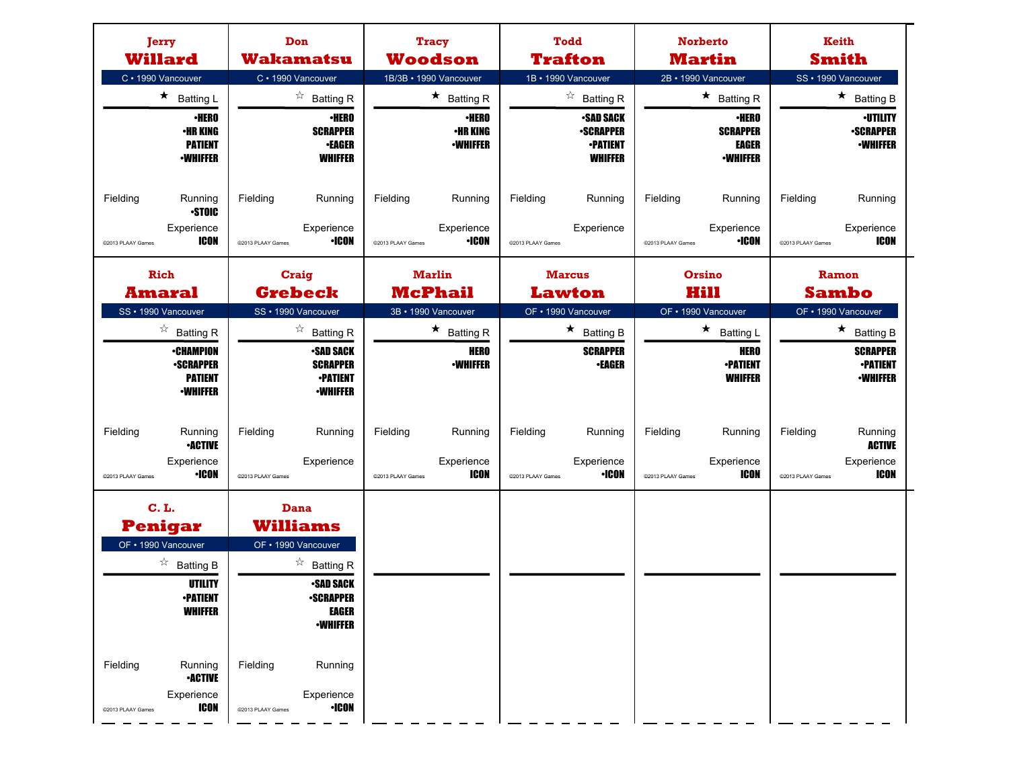| Jerry<br><b>Willard</b>                                                                                                                                                                                                    | Don<br><b>Wakamatsu</b>                                                                                                                                                                                                               | <b>Tracy</b><br><b>Woodson</b>                                                                    | <b>Todd</b><br><b>Trafton</b>                                                                                                      | <b>Norberto</b><br><b>Martin</b>                                                                       | Keith<br><b>Smith</b>                                                                                       |
|----------------------------------------------------------------------------------------------------------------------------------------------------------------------------------------------------------------------------|---------------------------------------------------------------------------------------------------------------------------------------------------------------------------------------------------------------------------------------|---------------------------------------------------------------------------------------------------|------------------------------------------------------------------------------------------------------------------------------------|--------------------------------------------------------------------------------------------------------|-------------------------------------------------------------------------------------------------------------|
| C · 1990 Vancouver<br>$\star$ Batting L<br>$\cdot$ HERO<br><b>•HR KING</b><br><b>PATIENT</b><br><b>-WHIFFER</b>                                                                                                            | C · 1990 Vancouver<br>$\overrightarrow{a}$ Batting R<br><b>·HERO</b><br><b>SCRAPPER</b><br><b>•EAGER</b><br><b>WHIFFER</b>                                                                                                            | 1B/3B · 1990 Vancouver<br>$\star$ Batting R<br><b>•HERO</b><br><b>•HR KING</b><br><b>-WHIFFER</b> | 1B · 1990 Vancouver<br>$\overrightarrow{a}$ Batting R<br><b>•SAD SACK</b><br><b>-SCRAPPER</b><br><b>-PATIENT</b><br><b>WHIFFER</b> | 2B · 1990 Vancouver<br>★ Batting R<br><b>·HERO</b><br><b>SCRAPPER</b><br>EAGER<br><b>-WHIFFER</b>      | SS · 1990 Vancouver<br>$\star$ Batting B<br><b>·UTILITY</b><br><b>-SCRAPPER</b><br><b>-WHIFFER</b>          |
| Fielding<br>Running<br><b>STOIC</b><br>Experience<br>ICON<br>@2013 PLAAY Games                                                                                                                                             | Fielding<br>Running<br>Experience<br><b>·ICON</b><br>@2013 PLAAY Games                                                                                                                                                                | Fielding<br>Running<br>Experience<br><b>·ICON</b><br>@2013 PLAAY Games                            | Fielding<br>Running<br>Experience<br>@2013 PLAAY Games                                                                             | Fielding<br>Running<br>Experience<br><b>•ICON</b><br>@2013 PLAAY Games                                 | Fielding<br>Running<br>Experience<br>ICON<br>@2013 PLAAY Games                                              |
| Rich<br><b>Amaral</b>                                                                                                                                                                                                      | Craig<br><b>Grebeck</b>                                                                                                                                                                                                               | <b>Marlin</b><br><b>McPhail</b>                                                                   | <b>Marcus</b><br><b>Lawton</b>                                                                                                     | Orsino<br>Hill                                                                                         | Ramon<br><b>Sambo</b>                                                                                       |
| SS · 1990 Vancouver<br>$\overrightarrow{a}$ Batting R<br><b>•CHAMPION</b><br><b>-SCRAPPER</b><br><b>PATIENT</b><br><b>-WHIFFER</b>                                                                                         | SS · 1990 Vancouver<br>$\overrightarrow{a}$ Batting R<br><b>•SAD SACK</b><br><b>SCRAPPER</b><br><b>•PATIENT</b><br><b>•WHIFFER</b>                                                                                                    | 3B · 1990 Vancouver<br>$\star$ Batting R<br><b>HERO</b><br><b>-WHIFFER</b>                        | OF • 1990 Vancouver<br>$\star$ Batting B<br><b>SCRAPPER</b><br><b>•EAGER</b>                                                       | OF • 1990 Vancouver<br>$\star$<br><b>Batting L</b><br><b>HERO</b><br><b>•PATIENT</b><br><b>WHIFFER</b> | OF • 1990 Vancouver<br>$\star$<br><b>Batting B</b><br><b>SCRAPPER</b><br><b>•PATIENT</b><br><b>-WHIFFER</b> |
| Fielding<br>Running<br><b>•ACTIVE</b><br>Experience<br>•ICON<br>@2013 PLAAY Games                                                                                                                                          | Fielding<br>Running<br>Experience<br>@2013 PLAAY Games                                                                                                                                                                                | Fielding<br>Running<br>Experience<br>ICON<br>@2013 PLAAY Games                                    | Fielding<br>Running<br>Experience<br><b>·ICON</b><br>@2013 PLAAY Games                                                             | Fielding<br>Running<br>Experience<br>ICON<br>@2013 PLAAY Games                                         | Fielding<br>Running<br><b>ACTIVE</b><br>Experience<br><b>ICON</b><br>@2013 PLAAY Games                      |
| <b>C.L.</b><br><b>Penigar</b><br>OF • 1990 Vancouver<br>$\overrightarrow{a}$ Batting B<br>UTILITY<br><b>•PATIENT</b><br><b>WHIFFER</b><br>Fielding<br>Running<br><b>•ACTIVE</b><br>Experience<br>ICON<br>@2013 PLAAY Games | Dana<br><b>Williams</b><br>OF • 1990 Vancouver<br>$\overrightarrow{a}$ Batting R<br><b>•SAD SACK</b><br><b>•SCRAPPER</b><br><b>EAGER</b><br><b>-WHIFFER</b><br>Fielding<br>Running<br>Experience<br><b>•ICON</b><br>@2013 PLAAY Games |                                                                                                   |                                                                                                                                    |                                                                                                        |                                                                                                             |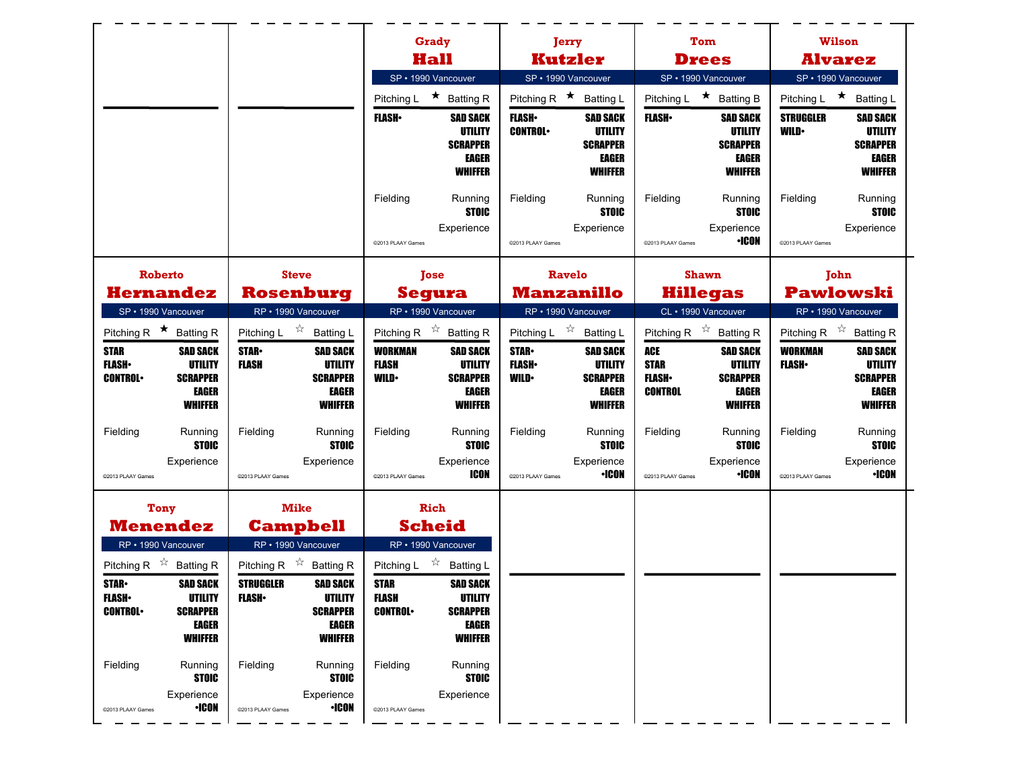|                                                                                                                             |                                                                                        |                                    |                                                                                 |                                               | Grady                                                                           | Jerry                                      |                                                                                 |                                                             | Tom                                                                                    |                                 | <b>Wilson</b>                                                                   |
|-----------------------------------------------------------------------------------------------------------------------------|----------------------------------------------------------------------------------------|------------------------------------|---------------------------------------------------------------------------------|-----------------------------------------------|---------------------------------------------------------------------------------|--------------------------------------------|---------------------------------------------------------------------------------|-------------------------------------------------------------|----------------------------------------------------------------------------------------|---------------------------------|---------------------------------------------------------------------------------|
|                                                                                                                             |                                                                                        |                                    |                                                                                 |                                               | Hall                                                                            |                                            | <b>Kutzler</b>                                                                  |                                                             | <b>Drees</b>                                                                           |                                 | <b>Alvarez</b>                                                                  |
|                                                                                                                             |                                                                                        |                                    |                                                                                 |                                               | SP · 1990 Vancouver                                                             | SP · 1990 Vancouver                        |                                                                                 |                                                             | SP · 1990 Vancouver                                                                    |                                 | SP · 1990 Vancouver                                                             |
|                                                                                                                             |                                                                                        |                                    |                                                                                 | Pitching L                                    | ★ Batting R                                                                     | Pitching R $\star$ Batting L               |                                                                                 | Pitching L                                                  | $\star$ Batting B                                                                      | Pitching L                      | $\star$<br>Batting L                                                            |
|                                                                                                                             |                                                                                        |                                    |                                                                                 | <b>FLASH</b>                                  | <b>SAD SACK</b><br>UTILITY<br><b>SCRAPPER</b><br><b>EAGER</b><br><b>WHIFFER</b> | <b>FLASH</b><br><b>CONTROL</b>             | <b>SAD SACK</b><br>UTILITY<br><b>SCRAPPER</b><br><b>EAGER</b><br><b>WHIFFER</b> | <b>FLASH</b>                                                | <b>SAD SACK</b><br>UTILITY<br><b>SCRAPPER</b><br>EAGER<br><b>WHIFFER</b>               | <b>STRUGGLER</b><br><b>WILD</b> | SAD SACK<br>UTILITY<br><b>SCRAPPER</b><br><b>EAGER</b><br><b>WHIFFER</b>        |
|                                                                                                                             |                                                                                        |                                    |                                                                                 | Fielding                                      | Running<br><b>STOIC</b><br>Experience                                           | Fielding                                   | Running<br><b>STOIC</b><br>Experience                                           | Fielding                                                    | Running<br><b>STOIC</b><br>Experience                                                  | Fielding                        | Running<br><b>STOIC</b><br>Experience                                           |
|                                                                                                                             |                                                                                        |                                    |                                                                                 | @2013 PLAAY Games                             |                                                                                 | @2013 PLAAY Games                          |                                                                                 | @2013 PLAAY Games                                           | <b>•ICON</b>                                                                           | @2013 PLAAY Games               |                                                                                 |
| <b>Roberto</b>                                                                                                              |                                                                                        |                                    | <b>Steve</b>                                                                    |                                               | <b>Tose</b>                                                                     | <b>Ravelo</b>                              |                                                                                 | <b>Shawn</b>                                                |                                                                                        |                                 | John                                                                            |
|                                                                                                                             | <b>Hernandez</b>                                                                       |                                    | <b>Rosenburg</b>                                                                |                                               | <b>Segura</b>                                                                   | <b>Manzanillo</b>                          |                                                                                 | <b>Hillegas</b>                                             |                                                                                        |                                 | <b>Pawlowski</b>                                                                |
| SP · 1990 Vancouver                                                                                                         |                                                                                        |                                    | RP • 1990 Vancouver                                                             |                                               | RP · 1990 Vancouver                                                             | RP · 1990 Vancouver                        |                                                                                 | CL · 1990 Vancouver                                         |                                                                                        | RP · 1990 Vancouver             |                                                                                 |
|                                                                                                                             | Pitching R $\star$ Batting R                                                           |                                    | Pitching L $\overrightarrow{x}$ Batting L                                       |                                               | Pitching R $\overrightarrow{x}$ Batting R                                       | Pitching L $\overrightarrow{x}$ Batting L  |                                                                                 | Pitching R $\overrightarrow{x}$ Batting R                   |                                                                                        |                                 | Pitching R $\overrightarrow{x}$ Batting R                                       |
| <b>STAR</b><br><b>FLASH</b><br><b>CONTROL</b>                                                                               | <b>SAD SACK</b><br>UTILITY<br><b>SCRAPPER</b><br>EAGER<br><b>WHIFFER</b>               | <b>STAR</b><br><b>FLASH</b>        | <b>SAD SACK</b><br>UTILITY<br><b>SCRAPPER</b><br><b>EAGER</b><br><b>WHIFFER</b> | <b>WORKMAN</b><br><b>FLASH</b><br><b>WILD</b> | <b>SAD SACK</b><br>UTILITY<br><b>SCRAPPER</b><br><b>EAGER</b><br><b>WHIFFER</b> | <b>STAR</b><br><b>FLASH</b><br><b>WILD</b> | <b>SAD SACK</b><br>UTILITY<br><b>SCRAPPER</b><br><b>EAGER</b><br><b>WHIFFER</b> | <b>ACE</b><br><b>STAR</b><br><b>FLASH</b><br><b>CONTROL</b> | <b>SAD SACK</b><br><b>UTILITY</b><br><b>SCRAPPER</b><br><b>EAGER</b><br><b>WHIFFER</b> | <b>WORKMAN</b><br><b>FLASH</b>  | <b>SAD SACK</b><br>UTILITY<br><b>SCRAPPER</b><br><b>EAGER</b><br><b>WHIFFER</b> |
| Fielding                                                                                                                    | Running<br><b>STOIC</b><br>Experience                                                  | Fielding                           | Running<br><b>STOIC</b><br>Experience                                           | Fielding                                      | Running<br><b>STOIC</b><br>Experience                                           | Fielding                                   | Running<br><b>STOIC</b><br>Experience                                           | Fielding                                                    | Running<br><b>STOIC</b><br>Experience                                                  | Fielding                        | Running<br><b>STOIC</b><br>Experience                                           |
| @2013 PLAAY Games                                                                                                           |                                                                                        | @2013 PLAAY Games                  |                                                                                 | @2013 PLAAY Games                             | ICON                                                                            | @2013 PLAAY Games                          | <b>•ICON</b>                                                                    | @2013 PLAAY Games                                           | <b>•ICON</b>                                                                           | @2013 PLAAY Games               | <b>•ICON</b>                                                                    |
| <b>Tony</b>                                                                                                                 |                                                                                        |                                    |                                                                                 |                                               |                                                                                 |                                            |                                                                                 |                                                             |                                                                                        |                                 |                                                                                 |
|                                                                                                                             |                                                                                        |                                    | <b>Mike</b>                                                                     |                                               | <b>Rich</b>                                                                     |                                            |                                                                                 |                                                             |                                                                                        |                                 |                                                                                 |
|                                                                                                                             | Menendez                                                                               |                                    | <b>Campbell</b>                                                                 |                                               | <b>Scheid</b>                                                                   |                                            |                                                                                 |                                                             |                                                                                        |                                 |                                                                                 |
| RP · 1990 Vancouver                                                                                                         |                                                                                        |                                    | RP • 1990 Vancouver                                                             |                                               | RP · 1990 Vancouver                                                             |                                            |                                                                                 |                                                             |                                                                                        |                                 |                                                                                 |
|                                                                                                                             |                                                                                        |                                    | Pitching R $\overrightarrow{x}$ Batting R                                       | Pitching L $\sqrt[3]{x}$                      | <b>Batting L</b>                                                                |                                            |                                                                                 |                                                             |                                                                                        |                                 |                                                                                 |
|                                                                                                                             | <b>SAD SACK</b><br><b>UTILITY</b><br><b>SCRAPPER</b><br><b>EAGER</b><br><b>WHIFFER</b> | <b>STRUGGLER</b><br><b>FLASH</b> • | <b>SAD SACK</b><br>UTILITY<br><b>SCRAPPER</b><br>EAGER<br><b>WHIFFER</b>        | <b>STAR</b><br><b>FLASH</b><br><b>CONTROL</b> | <b>SAD SACK</b><br>UTILITY<br><b>SCRAPPER</b><br>EAGER<br><b>WHIFFER</b>        |                                            |                                                                                 |                                                             |                                                                                        |                                 |                                                                                 |
| Pitching R $\overrightarrow{x}$ Batting R<br><b>STAR</b><br><b>FLASH</b><br><b>CONTROL</b><br>Fielding<br>@2013 PLAAY Games | Running<br><b>STOIC</b><br>Experience<br><b>•ICON</b>                                  | Fielding<br>@2013 PLAAY Games      | Running<br><b>STOIC</b><br>Experience<br>$\cdot$ ICON                           | Fielding<br>@2013 PLAAY Games                 | Running<br><b>STOIC</b><br>Experience                                           |                                            |                                                                                 |                                                             |                                                                                        |                                 |                                                                                 |